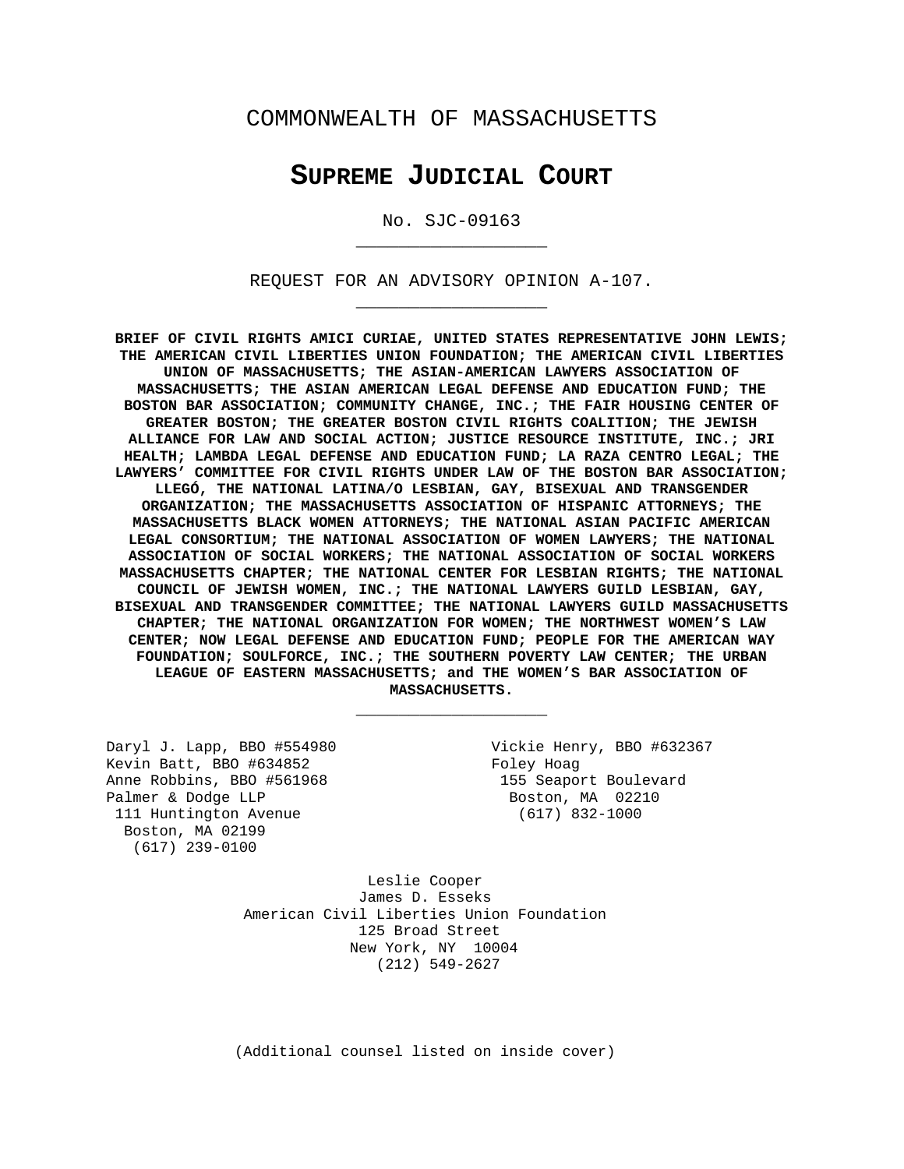## COMMONWEALTH OF MASSACHUSETTS

# **SUPREME JUDICIAL COURT**

No. SJC-09163 \_\_\_\_\_\_\_\_\_\_\_\_\_\_\_\_\_\_

REQUEST FOR AN ADVISORY OPINION A-107. \_\_\_\_\_\_\_\_\_\_\_\_\_\_\_\_\_\_

**BRIEF OF CIVIL RIGHTS AMICI CURIAE, UNITED STATES REPRESENTATIVE JOHN LEWIS; THE AMERICAN CIVIL LIBERTIES UNION FOUNDATION; THE AMERICAN CIVIL LIBERTIES UNION OF MASSACHUSETTS; THE ASIAN-AMERICAN LAWYERS ASSOCIATION OF MASSACHUSETTS; THE ASIAN AMERICAN LEGAL DEFENSE AND EDUCATION FUND; THE BOSTON BAR ASSOCIATION; COMMUNITY CHANGE, INC.; THE FAIR HOUSING CENTER OF GREATER BOSTON; THE GREATER BOSTON CIVIL RIGHTS COALITION; THE JEWISH ALLIANCE FOR LAW AND SOCIAL ACTION; JUSTICE RESOURCE INSTITUTE, INC.; JRI HEALTH; LAMBDA LEGAL DEFENSE AND EDUCATION FUND; LA RAZA CENTRO LEGAL; THE LAWYERS' COMMITTEE FOR CIVIL RIGHTS UNDER LAW OF THE BOSTON BAR ASSOCIATION; LLEGÓ, THE NATIONAL LATINA/O LESBIAN, GAY, BISEXUAL AND TRANSGENDER ORGANIZATION; THE MASSACHUSETTS ASSOCIATION OF HISPANIC ATTORNEYS; THE MASSACHUSETTS BLACK WOMEN ATTORNEYS; THE NATIONAL ASIAN PACIFIC AMERICAN LEGAL CONSORTIUM; THE NATIONAL ASSOCIATION OF WOMEN LAWYERS; THE NATIONAL ASSOCIATION OF SOCIAL WORKERS; THE NATIONAL ASSOCIATION OF SOCIAL WORKERS MASSACHUSETTS CHAPTER; THE NATIONAL CENTER FOR LESBIAN RIGHTS; THE NATIONAL COUNCIL OF JEWISH WOMEN, INC.; THE NATIONAL LAWYERS GUILD LESBIAN, GAY, BISEXUAL AND TRANSGENDER COMMITTEE; THE NATIONAL LAWYERS GUILD MASSACHUSETTS CHAPTER; THE NATIONAL ORGANIZATION FOR WOMEN; THE NORTHWEST WOMEN'S LAW CENTER; NOW LEGAL DEFENSE AND EDUCATION FUND; PEOPLE FOR THE AMERICAN WAY FOUNDATION; SOULFORCE, INC.; THE SOUTHERN POVERTY LAW CENTER; THE URBAN LEAGUE OF EASTERN MASSACHUSETTS; and THE WOMEN'S BAR ASSOCIATION OF MASSACHUSETTS.**

\_\_\_\_\_\_\_\_\_\_\_\_\_\_\_\_\_\_

Daryl J. Lapp, BBO #554980 Vickie Henry, BBO #632367 Kevin Batt, BBO #634852 Foley Hoag<br>Anne Robbins, BBO #561968 Foley Hoag 155 Seapor Palmer & Dodge LLP Boston, MA 02210 111 Huntington Avenue (617) 832-1000 Boston, MA 02199 (617) 239-0100

155 Seaport Boulevard

Leslie Cooper James D. Esseks American Civil Liberties Union Foundation 125 Broad Street New York, NY 10004 (212) 549-2627

(Additional counsel listed on inside cover)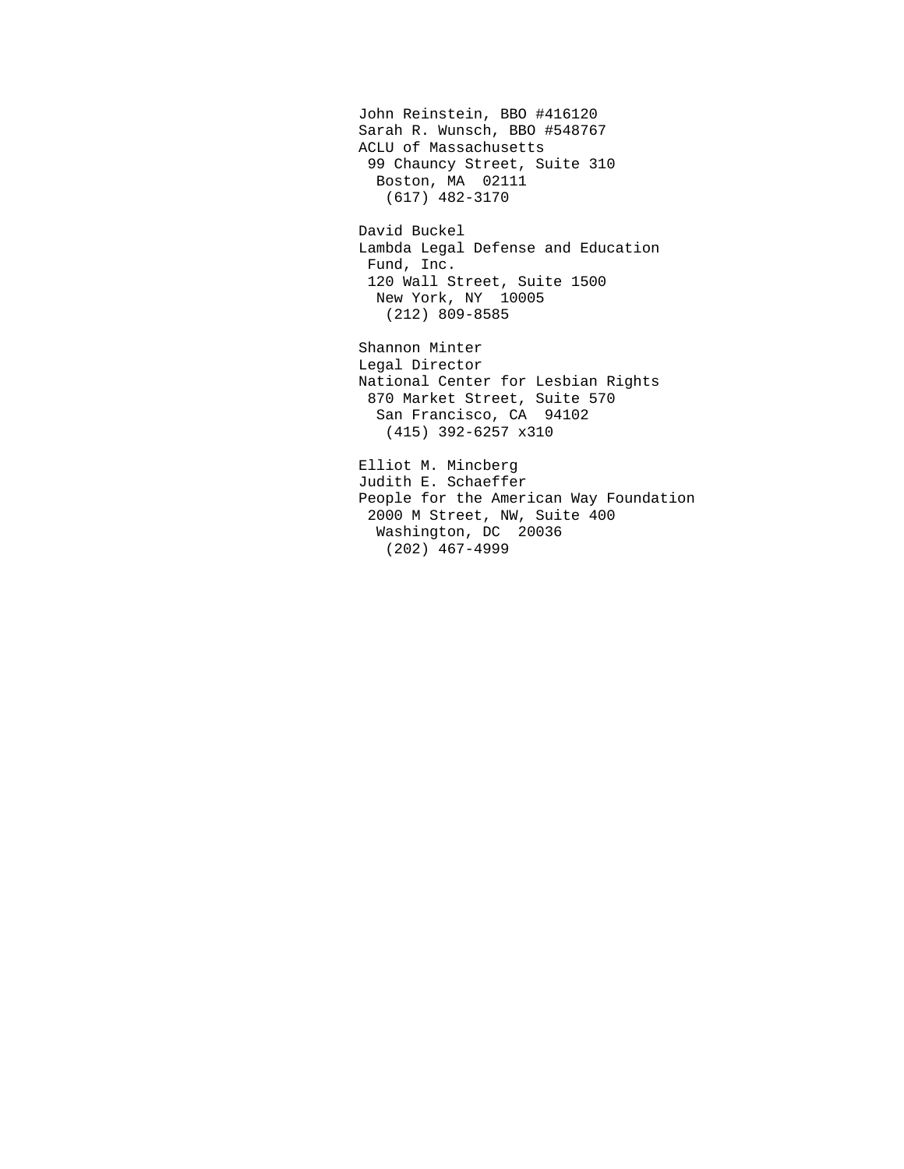John Reinstein, BBO #416120 Sarah R. Wunsch, BBO #548767 ACLU of Massachusetts 99 Chauncy Street, Suite 310 Boston, MA 02111 (617) 482-3170

David Buckel Lambda Legal Defense and Education Fund, Inc. 120 Wall Street, Suite 1500 New York, NY 10005 (212) 809-8585

Shannon Minter Legal Director National Center for Lesbian Rights 870 Market Street, Suite 570 San Francisco, CA 94102 (415) 392-6257 x310

Elliot M. Mincberg Judith E. Schaeffer People for the American Way Foundation 2000 M Street, NW, Suite 400 Washington, DC 20036 (202) 467-4999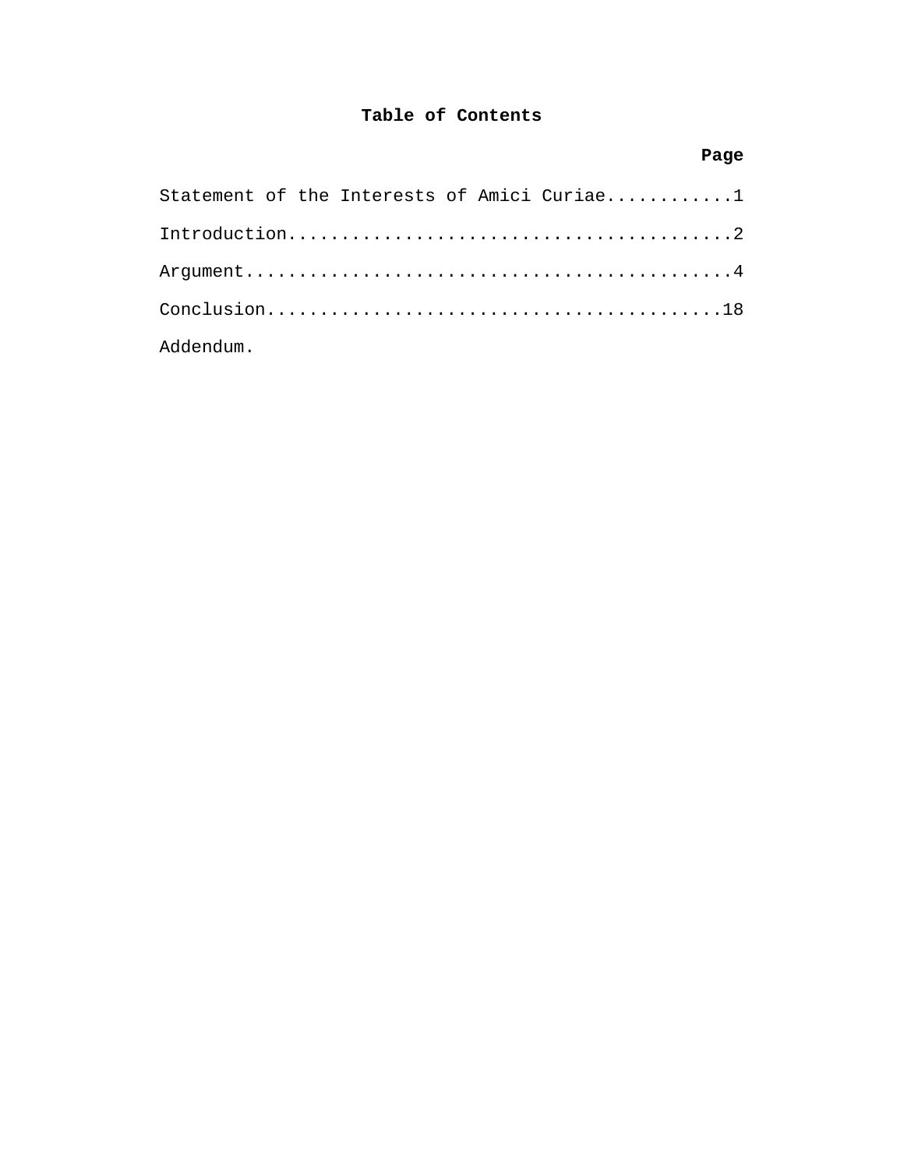## **Table of Contents**

# **Page**

| Statement of the Interests of Amici Curiae1 |
|---------------------------------------------|
|                                             |
|                                             |
|                                             |
| Addendum.                                   |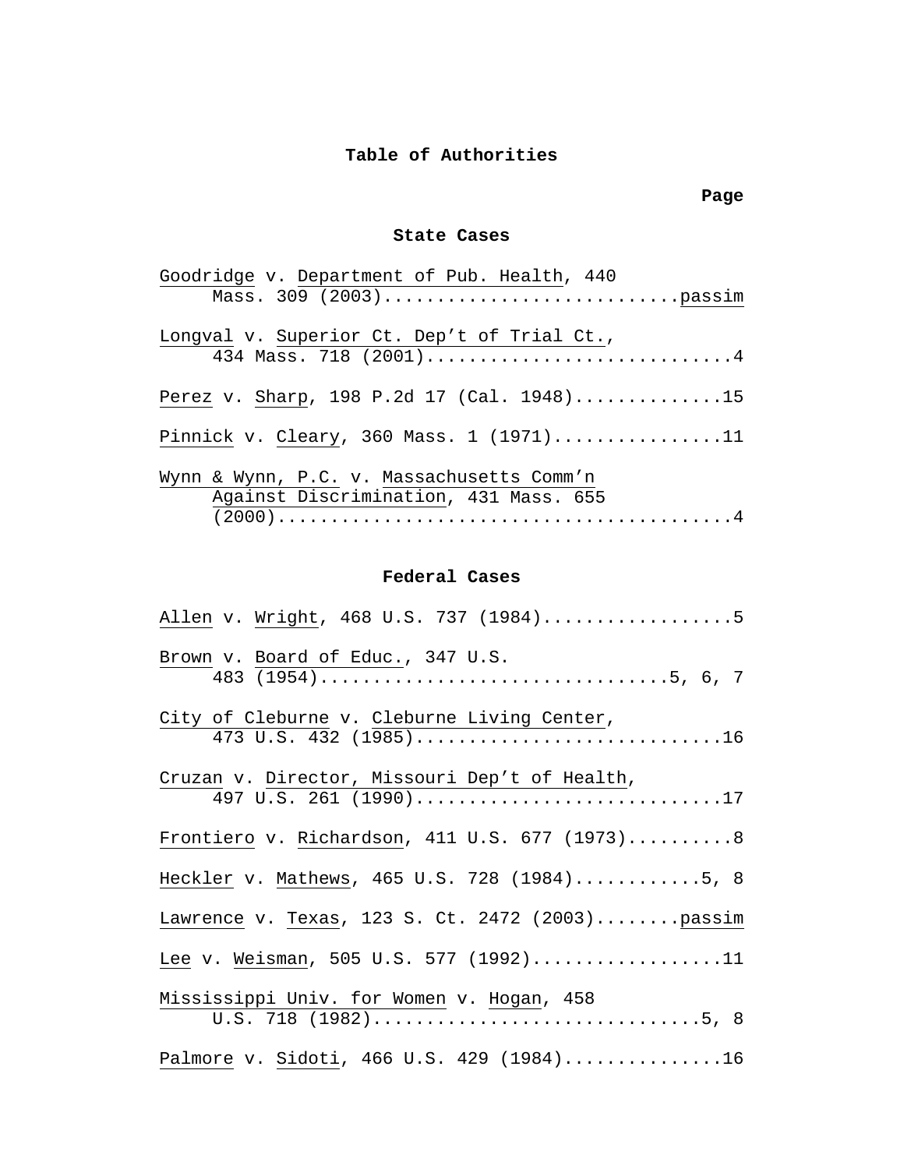## **Table of Authorities**

### **Page**

### **State Cases**

| Goodridge v. Department of Pub. Health, 440 |
|---------------------------------------------|
|                                             |
|                                             |
| Longval v. Superior Ct. Dep't of Trial Ct., |
| 434 Mass. 718 (2001)4                       |
| Perez v. Sharp, 198 P.2d 17 (Cal. 1948)15   |
|                                             |
| Pinnick v. Cleary, 360 Mass. $1$ (1971)11   |
|                                             |
| Wynn & Wynn, P.C. v. Massachusetts Comm'n   |
| Against Discrimination, 431 Mass. 655       |
|                                             |

### **Federal Cases**

| Allen v. Wright, 468 U.S. 737 (1984)5                                  |
|------------------------------------------------------------------------|
| Brown v. Board of Educ., 347 U.S.                                      |
| City of Cleburne v. Cleburne Living Center,<br>473 U.S. 432 (1985)16   |
| Cruzan v. Director, Missouri Dep't of Health,<br>497 U.S. 261 (1990)17 |
| Frontiero v. Richardson, 411 U.S. 677 (1973)8                          |
| Heckler v. Mathews, 465 U.S. 728 (1984)5, 8                            |
| Lawrence v. Texas, 123 S. Ct. 2472 (2003)passim                        |
| Lee v. Weisman, 505 U.S. 577 (1992)11                                  |
| Mississippi Univ. for Women v. Hogan, 458                              |
| Palmore v. Sidoti, 466 U.S. 429 (1984)16                               |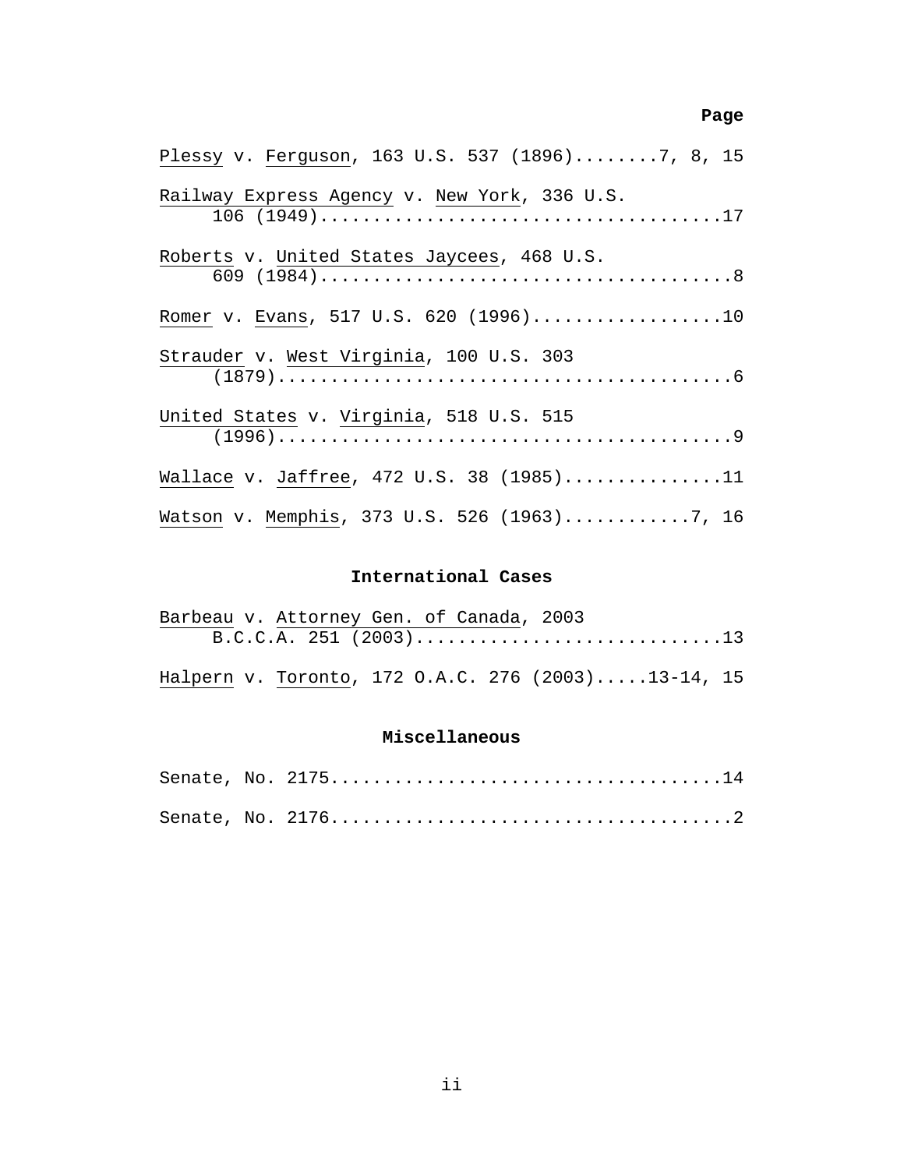### **Page 2 Page** 2 **Page**

| Plessy v. Ferguson, 163 U.S. 537 (1896)7, 8, 15 |
|-------------------------------------------------|
| Railway Express Agency v. New York, 336 U.S.    |
| Roberts v. United States Jaycees, 468 U.S.      |
| Romer v. Evans, 517 U.S. 620 (1996)10           |
| Strauder v. West Virginia, 100 U.S. 303         |
| United States v. Virginia, 518 U.S. 515         |
| Wallace v. Jaffree, 472 U.S. 38 (1985)11        |
| Watson v. Memphis, 373 U.S. 526 (1963)7, 16     |

### **International Cases**

| Barbeau v. Attorney Gen. of Canada, 2003           |  |
|----------------------------------------------------|--|
|                                                    |  |
|                                                    |  |
| Halpern v. Toronto, 172 O.A.C. 276 (2003)13-14, 15 |  |

### **Miscellaneous**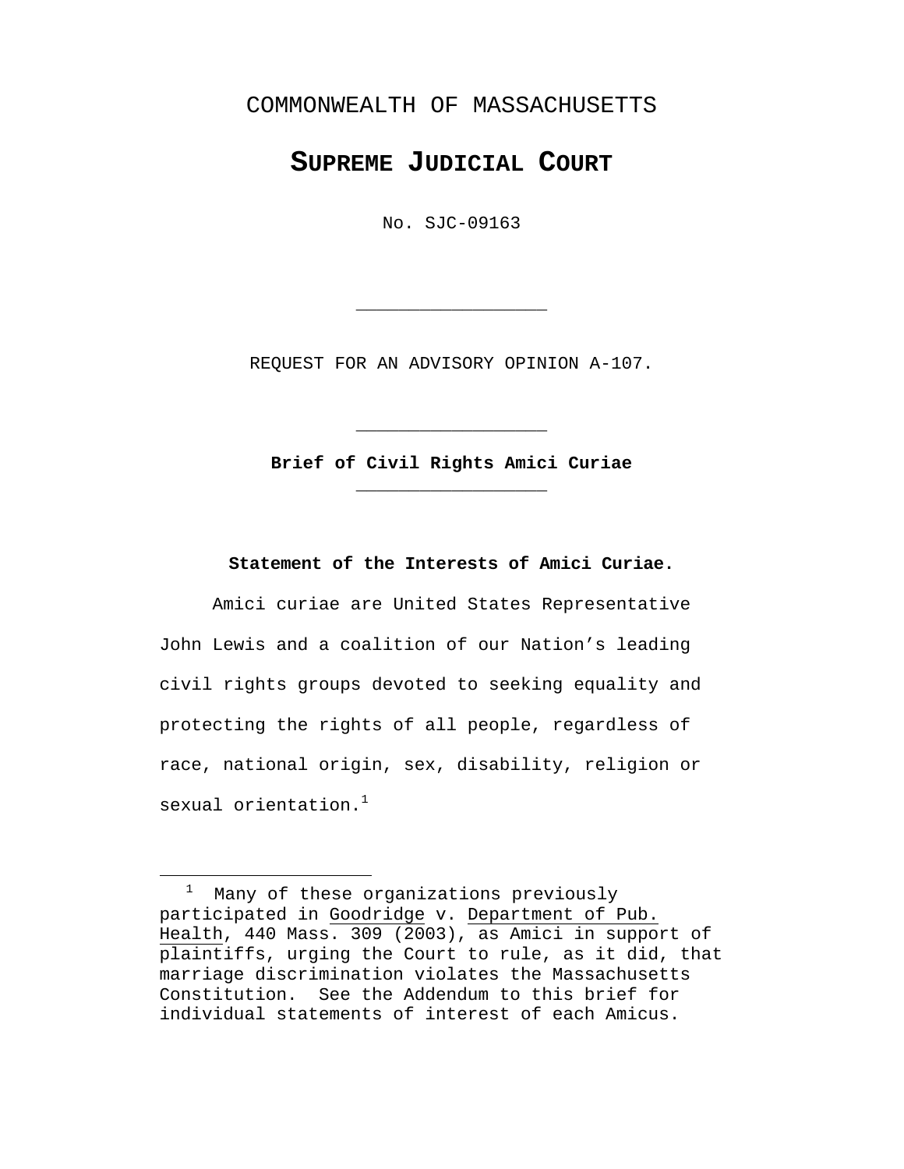## <span id="page-5-0"></span>COMMONWEALTH OF MASSACHUSETTS

# **SUPREME JUDICIAL COURT**

No. SJC-09163

REQUEST FOR AN ADVISORY OPINION A-107.

\_\_\_\_\_\_\_\_\_\_\_\_\_\_\_\_\_\_

**Brief of Civil Rights Amici Curiae**  \_\_\_\_\_\_\_\_\_\_\_\_\_\_\_\_\_\_

\_\_\_\_\_\_\_\_\_\_\_\_\_\_\_\_\_\_

**Statement of the Interests of Amici Curiae.** 

Amici curiae are United States Representative John Lewis and a coalition of our Nation's leading civil rights groups devoted to seeking equality and protecting the rights of all people, regardless of race, national origin, sex, disability, religion or sexual orientation. $<sup>1</sup>$  $<sup>1</sup>$  $<sup>1</sup>$ </sup>

<span id="page-5-1"></span> <sup>1</sup> Many of these organizations previously participated in Goodridge v. Department of Pub. Health, 440 Mass. 309 (2003), as Amici in support of plaintiffs, urging the Court to rule, as it did, that marriage discrimination violates the Massachusetts Constitution. See the Addendum to this brief for individual statements of interest of each Amicus.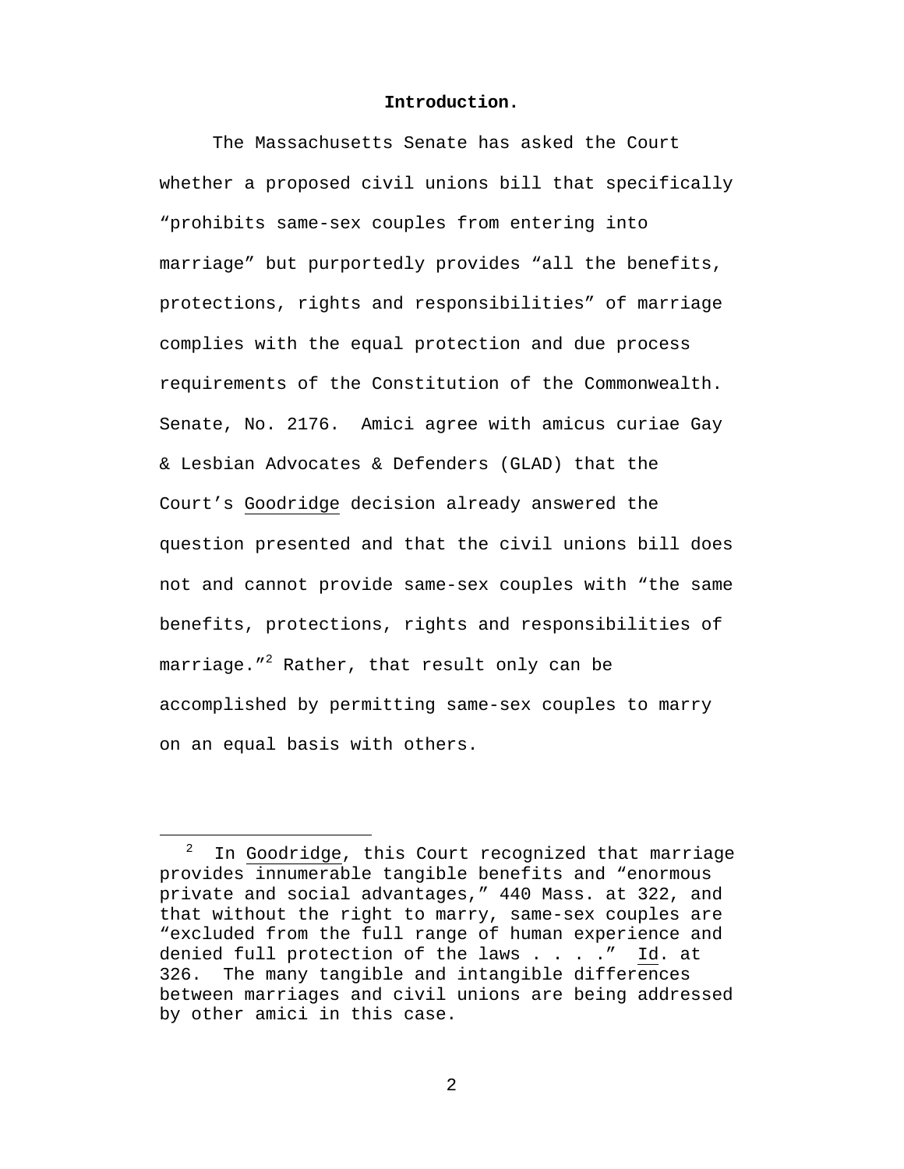#### **Introduction.**

<span id="page-6-0"></span>The Massachusetts Senate has asked the Court whether a proposed civil unions bill that specifically "prohibits same-sex couples from entering into marriage" but purportedly provides "all the benefits, protections, rights and responsibilities" of marriage complies with the equal protection and due process requirements of the Constitution of the Commonwealth. Senate, No. 2176. Amici agree with amicus curiae Gay & Lesbian Advocates & Defenders (GLAD) that the Court's Goodridge decision already answered the question presented and that the civil unions bill does not and cannot provide same-sex couples with "the same benefits, protections, rights and responsibilities of marriage."<sup>[2](#page-6-1)</sup> Rather, that result only can be accomplished by permitting same-sex couples to marry on an equal basis with others.

<span id="page-6-1"></span> <sup>2</sup> In Goodridge, this Court recognized that marriage provides innumerable tangible benefits and "enormous private and social advantages," 440 Mass. at 322, and that without the right to marry, same-sex couples are "excluded from the full range of human experience and denied full protection of the laws . . . ." Id. at 326. The many tangible and intangible differences between marriages and civil unions are being addressed by other amici in this case.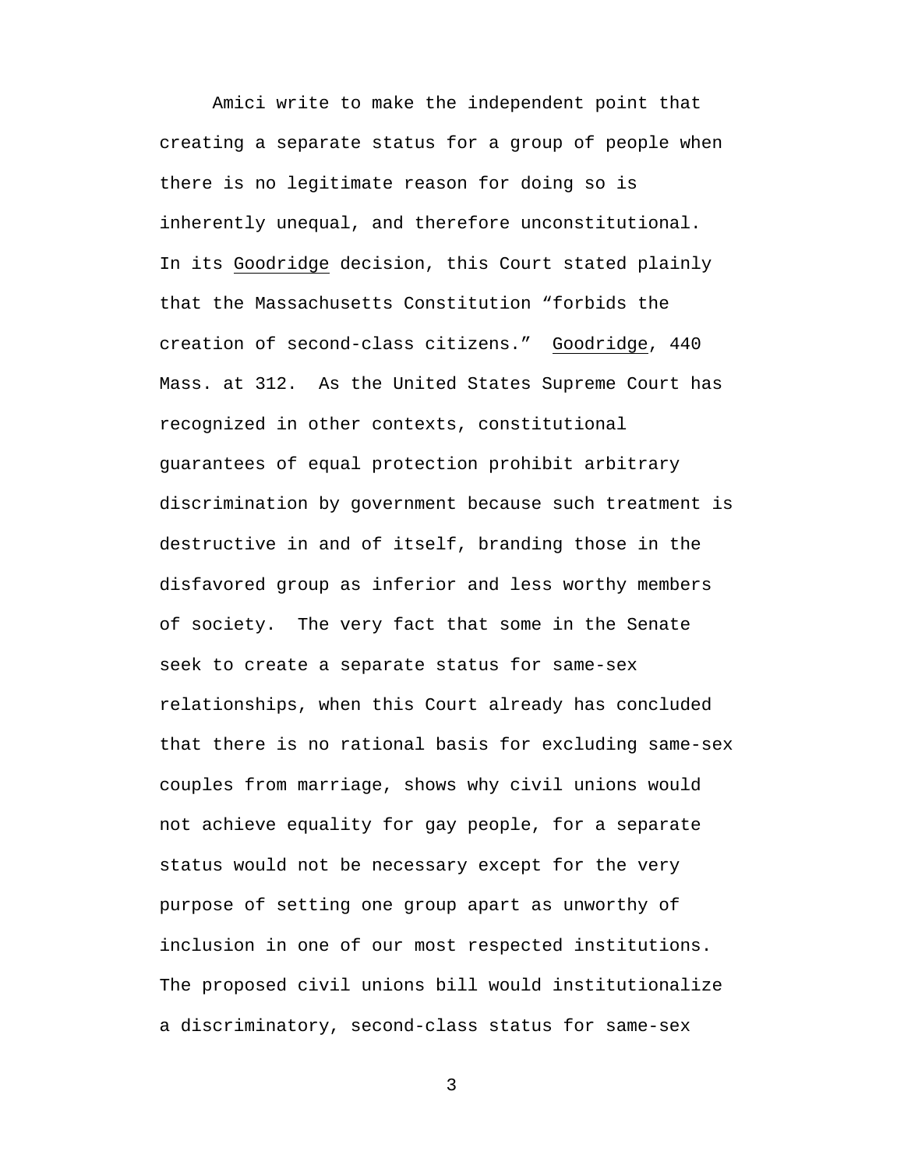Amici write to make the independent point that creating a separate status for a group of people when there is no legitimate reason for doing so is inherently unequal, and therefore unconstitutional. In its Goodridge decision, this Court stated plainly that the Massachusetts Constitution "forbids the creation of second-class citizens." Goodridge, 440 Mass. at 312. As the United States Supreme Court has recognized in other contexts, constitutional guarantees of equal protection prohibit arbitrary discrimination by government because such treatment is destructive in and of itself, branding those in the disfavored group as inferior and less worthy members of society. The very fact that some in the Senate seek to create a separate status for same-sex relationships, when this Court already has concluded that there is no rational basis for excluding same-sex couples from marriage, shows why civil unions would not achieve equality for gay people, for a separate status would not be necessary except for the very purpose of setting one group apart as unworthy of inclusion in one of our most respected institutions. The proposed civil unions bill would institutionalize a discriminatory, second-class status for same-sex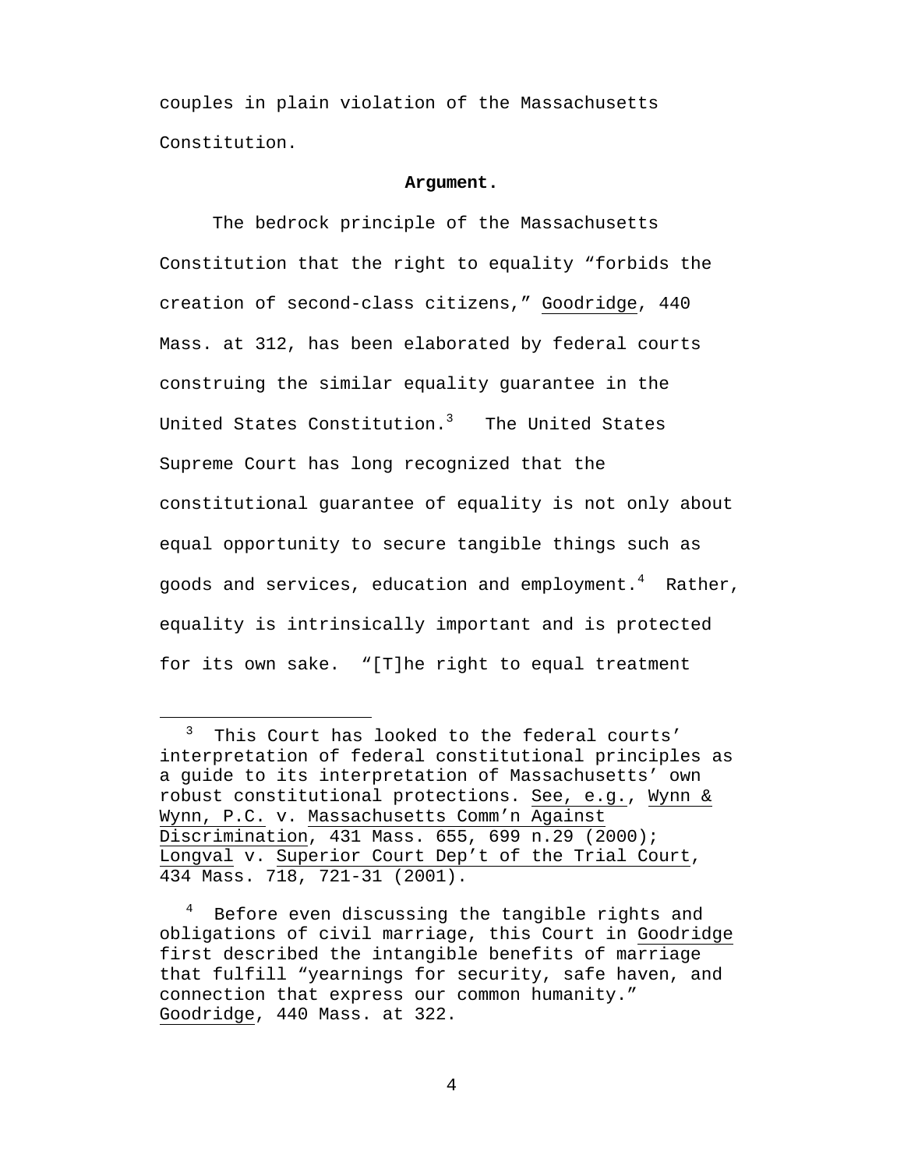<span id="page-8-0"></span>couples in plain violation of the Massachusetts Constitution.

#### **Argument.**

The bedrock principle of the Massachusetts Constitution that the right to equality "forbids the creation of second-class citizens," Goodridge, 440 Mass. at 312, has been elaborated by federal courts construing the similar equality guarantee in the United States Constitution. $^3$  $^3$  The United States Supreme Court has long recognized that the constitutional guarantee of equality is not only about equal opportunity to secure tangible things such as goods and services, education and employment. $^4$  $^4$  Rather, equality is intrinsically important and is protected for its own sake. "[T]he right to equal treatment

<span id="page-8-1"></span> <sup>3</sup> This Court has looked to the federal courts' interpretation of federal constitutional principles as a guide to its interpretation of Massachusetts' own robust constitutional protections. See, e.g., Wynn & Wynn, P.C. v. Massachusetts Comm'n Against Discrimination, 431 Mass. 655, 699 n.29 (2000); Longval v. Superior Court Dep't of the Trial Court, 434 Mass. 718, 721-31 (2001).

<span id="page-8-2"></span><sup>4</sup> Before even discussing the tangible rights and obligations of civil marriage, this Court in Goodridge first described the intangible benefits of marriage that fulfill "yearnings for security, safe haven, and connection that express our common humanity." Goodridge, 440 Mass. at 322.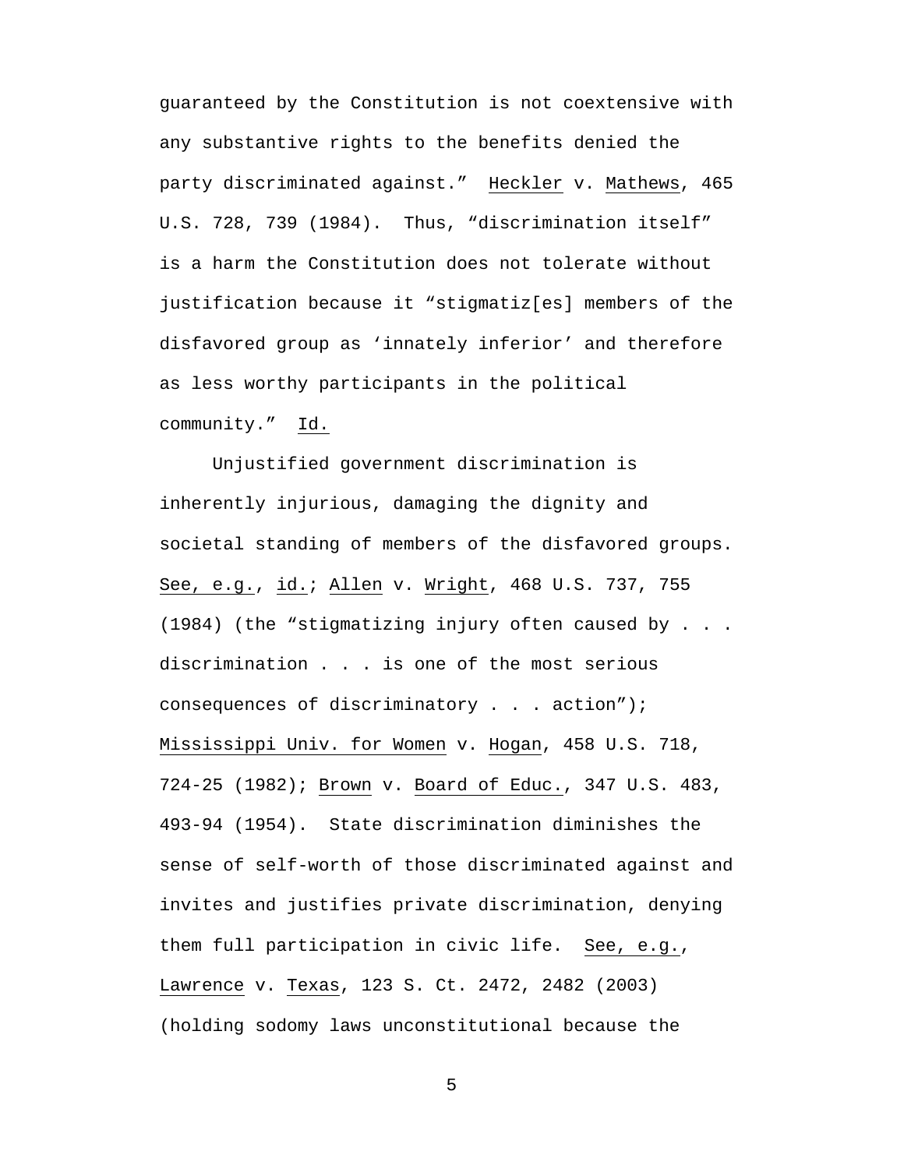guaranteed by the Constitution is not coextensive with any substantive rights to the benefits denied the party discriminated against." Heckler v. Mathews, 465 U.S. 728, 739 (1984). Thus, "discrimination itself" is a harm the Constitution does not tolerate without justification because it "stigmatiz[es] members of the disfavored group as 'innately inferior' and therefore as less worthy participants in the political community." Id.

Unjustified government discrimination is inherently injurious, damaging the dignity and societal standing of members of the disfavored groups. See, e.g., id.; Allen v. Wright, 468 U.S. 737, 755 (1984) (the "stigmatizing injury often caused by . . . discrimination . . . is one of the most serious consequences of discriminatory . . . action"); Mississippi Univ. for Women v. Hogan, 458 U.S. 718, 724-25 (1982); Brown v. Board of Educ., 347 U.S. 483, 493-94 (1954). State discrimination diminishes the sense of self-worth of those discriminated against and invites and justifies private discrimination, denying them full participation in civic life. See, e.g., Lawrence v. Texas, 123 S. Ct. 2472, 2482 (2003) (holding sodomy laws unconstitutional because the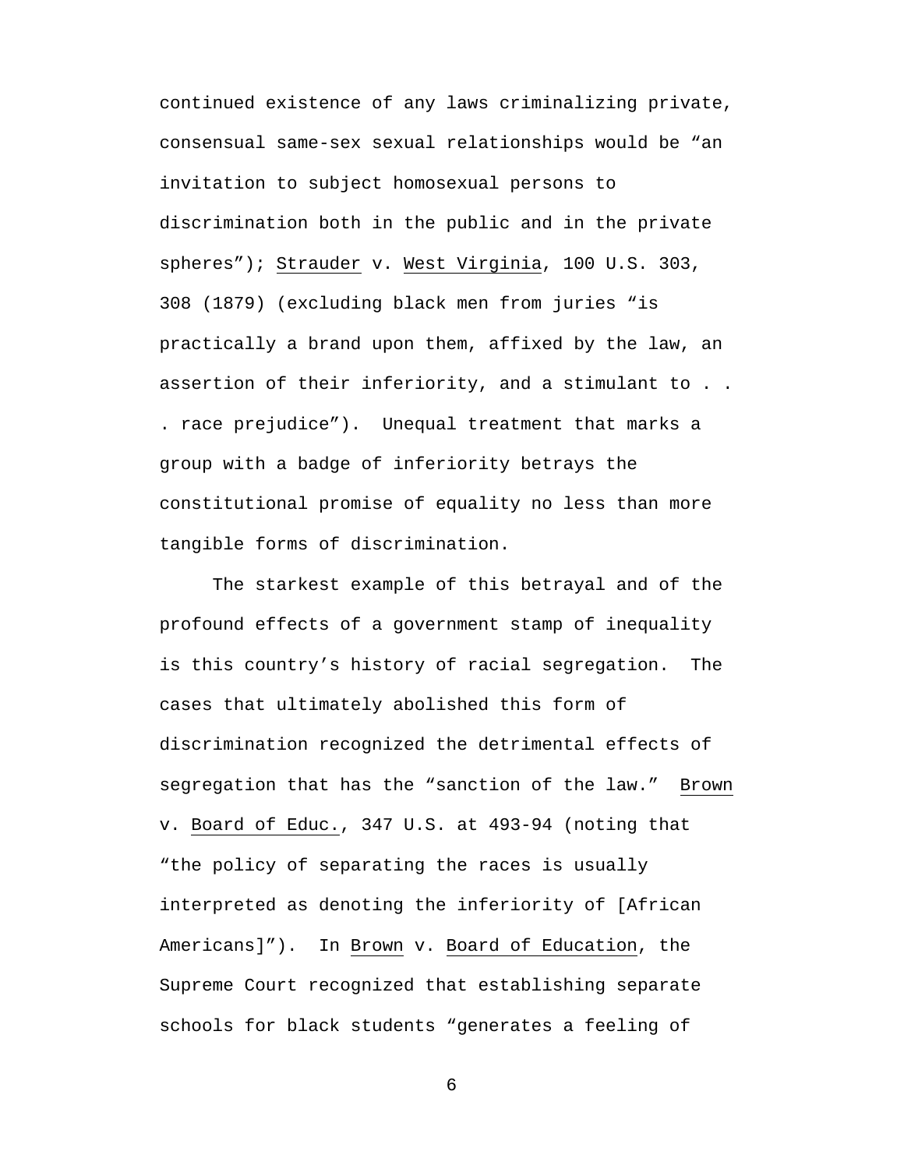continued existence of any laws criminalizing private, consensual same-sex sexual relationships would be "an invitation to subject homosexual persons to discrimination both in the public and in the private spheres"); Strauder v. West Virginia, 100 U.S. 303, 308 (1879) (excluding black men from juries "is practically a brand upon them, affixed by the law, an assertion of their inferiority, and a stimulant to . . . race prejudice"). Unequal treatment that marks a group with a badge of inferiority betrays the constitutional promise of equality no less than more tangible forms of discrimination.

The starkest example of this betrayal and of the profound effects of a government stamp of inequality is this country's history of racial segregation. The cases that ultimately abolished this form of discrimination recognized the detrimental effects of segregation that has the "sanction of the law." Brown v. Board of Educ., 347 U.S. at 493-94 (noting that "the policy of separating the races is usually interpreted as denoting the inferiority of [African Americans]"). In Brown v. Board of Education, the Supreme Court recognized that establishing separate schools for black students "generates a feeling of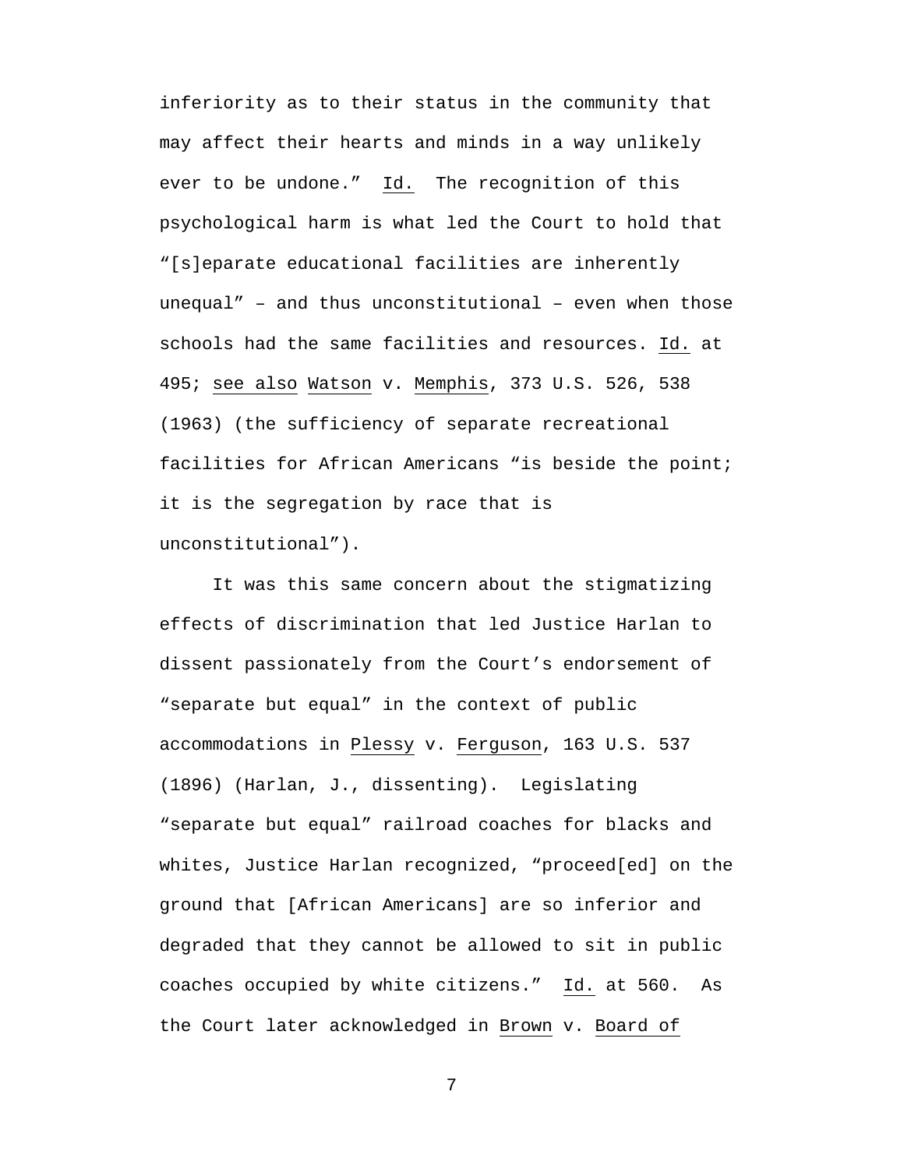inferiority as to their status in the community that may affect their hearts and minds in a way unlikely ever to be undone." Id. The recognition of this psychological harm is what led the Court to hold that "[s]eparate educational facilities are inherently unequal" – and thus unconstitutional – even when those schools had the same facilities and resources. Id. at 495; see also Watson v. Memphis, 373 U.S. 526, 538 (1963) (the sufficiency of separate recreational facilities for African Americans "is beside the point; it is the segregation by race that is unconstitutional").

It was this same concern about the stigmatizing effects of discrimination that led Justice Harlan to dissent passionately from the Court's endorsement of "separate but equal" in the context of public accommodations in Plessy v. Ferguson, 163 U.S. 537 (1896) (Harlan, J., dissenting). Legislating "separate but equal" railroad coaches for blacks and whites, Justice Harlan recognized, "proceed[ed] on the ground that [African Americans] are so inferior and degraded that they cannot be allowed to sit in public coaches occupied by white citizens." Id. at 560. As the Court later acknowledged in Brown v. Board of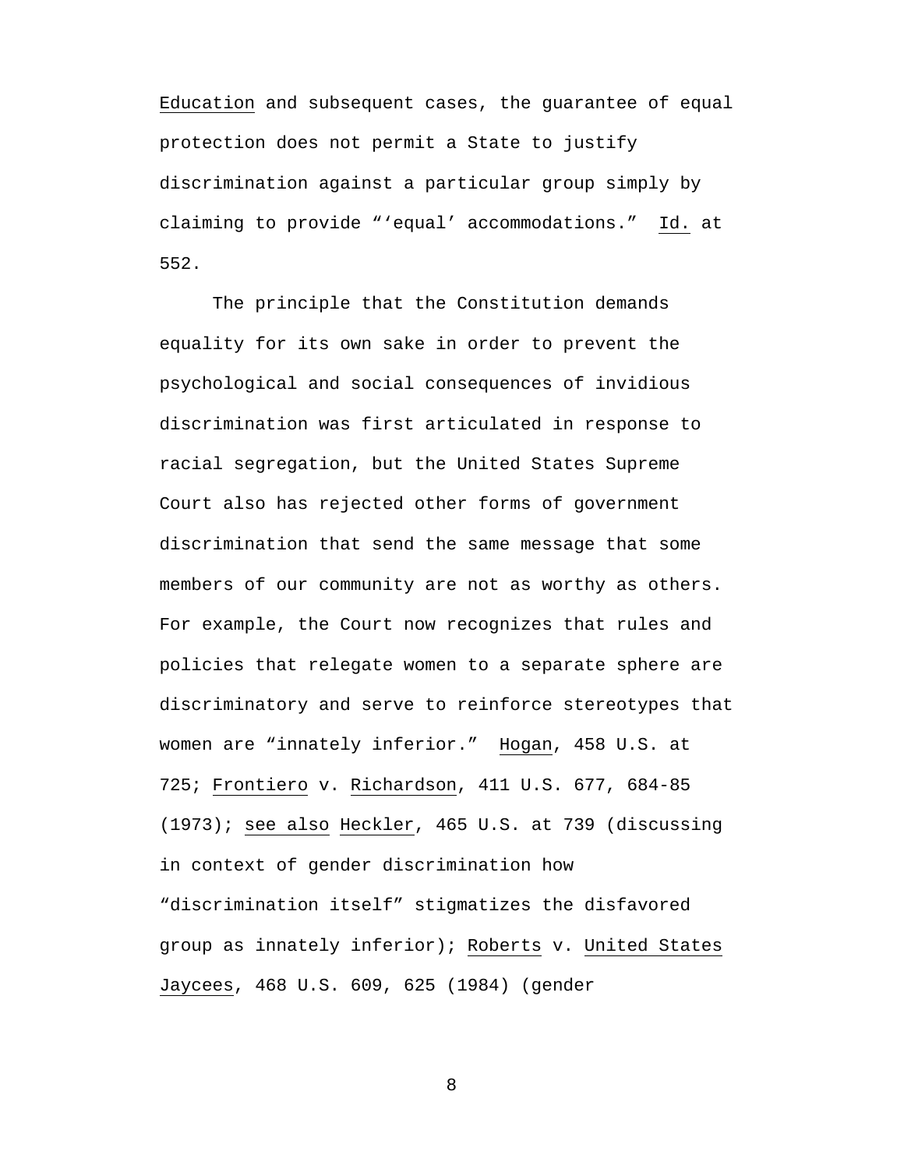Education and subsequent cases, the guarantee of equal protection does not permit a State to justify discrimination against a particular group simply by claiming to provide "'equal' accommodations." Id. at 552.

The principle that the Constitution demands equality for its own sake in order to prevent the psychological and social consequences of invidious discrimination was first articulated in response to racial segregation, but the United States Supreme Court also has rejected other forms of government discrimination that send the same message that some members of our community are not as worthy as others. For example, the Court now recognizes that rules and policies that relegate women to a separate sphere are discriminatory and serve to reinforce stereotypes that women are "innately inferior." Hogan, 458 U.S. at 725; Frontiero v. Richardson, 411 U.S. 677, 684-85 (1973); see also Heckler, 465 U.S. at 739 (discussing in context of gender discrimination how "discrimination itself" stigmatizes the disfavored group as innately inferior); Roberts v. United States Jaycees, 468 U.S. 609, 625 (1984) (gender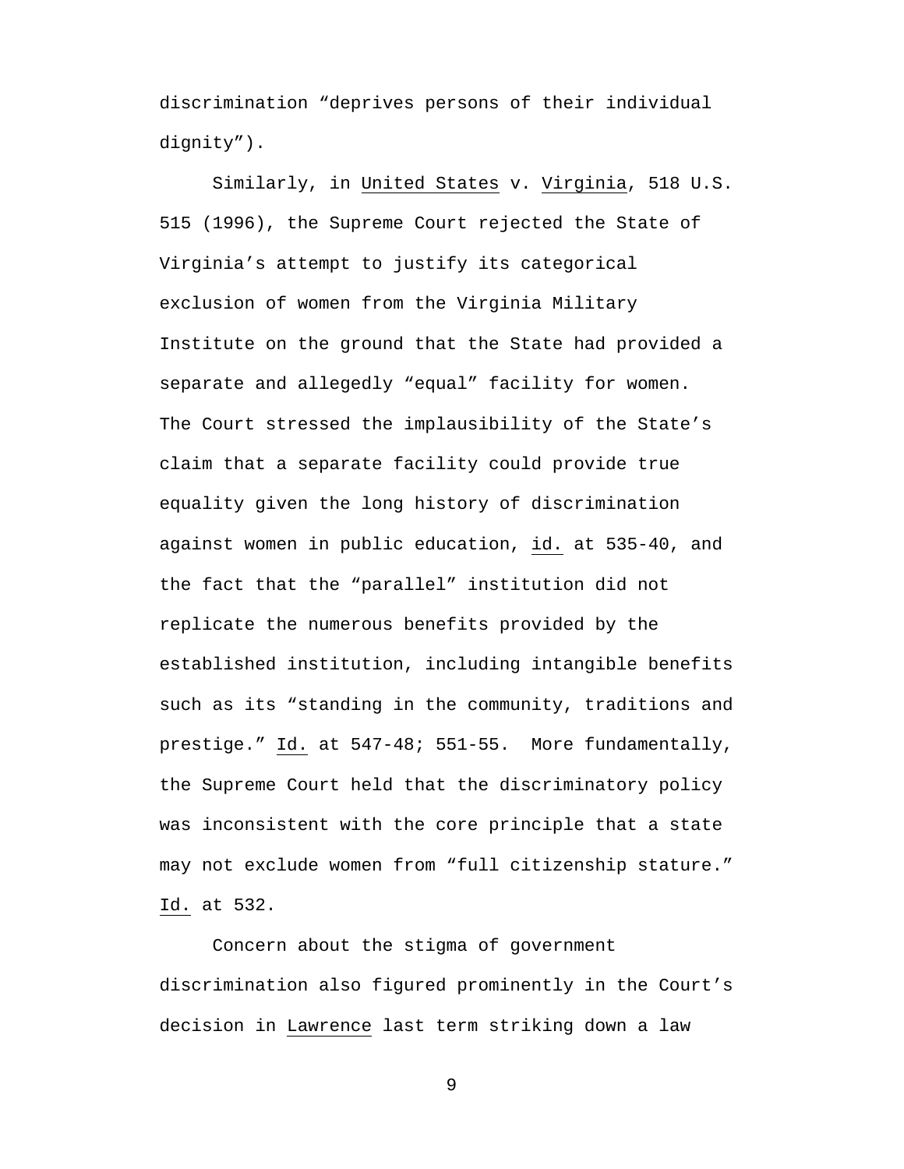discrimination "deprives persons of their individual dignity").

Similarly, in United States v. Virginia, 518 U.S. 515 (1996), the Supreme Court rejected the State of Virginia's attempt to justify its categorical exclusion of women from the Virginia Military Institute on the ground that the State had provided a separate and allegedly "equal" facility for women. The Court stressed the implausibility of the State's claim that a separate facility could provide true equality given the long history of discrimination against women in public education, id. at 535-40, and the fact that the "parallel" institution did not replicate the numerous benefits provided by the established institution, including intangible benefits such as its "standing in the community, traditions and prestige." Id. at 547-48; 551-55. More fundamentally, the Supreme Court held that the discriminatory policy was inconsistent with the core principle that a state may not exclude women from "full citizenship stature." Id. at 532.

Concern about the stigma of government discrimination also figured prominently in the Court's decision in Lawrence last term striking down a law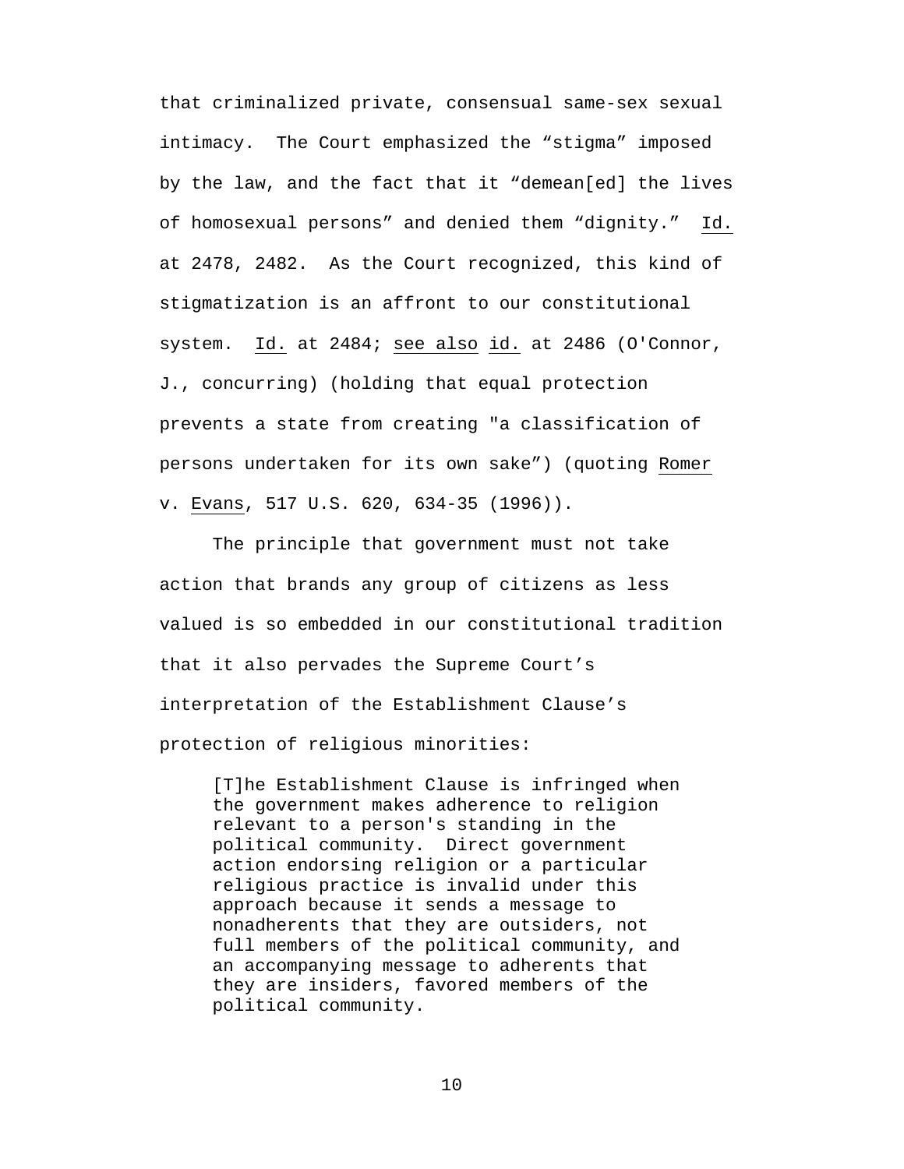that criminalized private, consensual same-sex sexual intimacy. The Court emphasized the "stigma" imposed by the law, and the fact that it "demean[ed] the lives of homosexual persons" and denied them "dignity." Id. at 2478, 2482. As the Court recognized, this kind of stigmatization is an affront to our constitutional system. Id. at 2484; see also id. at 2486 (O'Connor, J., concurring) (holding that equal protection prevents a state from creating "a classification of persons undertaken for its own sake") (quoting Romer v. Evans, 517 U.S. 620, 634-35 (1996)).

The principle that government must not take action that brands any group of citizens as less valued is so embedded in our constitutional tradition that it also pervades the Supreme Court's interpretation of the Establishment Clause's protection of religious minorities:

[T]he Establishment Clause is infringed when the government makes adherence to religion relevant to a person's standing in the political community. Direct government action endorsing religion or a particular religious practice is invalid under this approach because it sends a message to nonadherents that they are outsiders, not full members of the political community, and an accompanying message to adherents that they are insiders, favored members of the political community.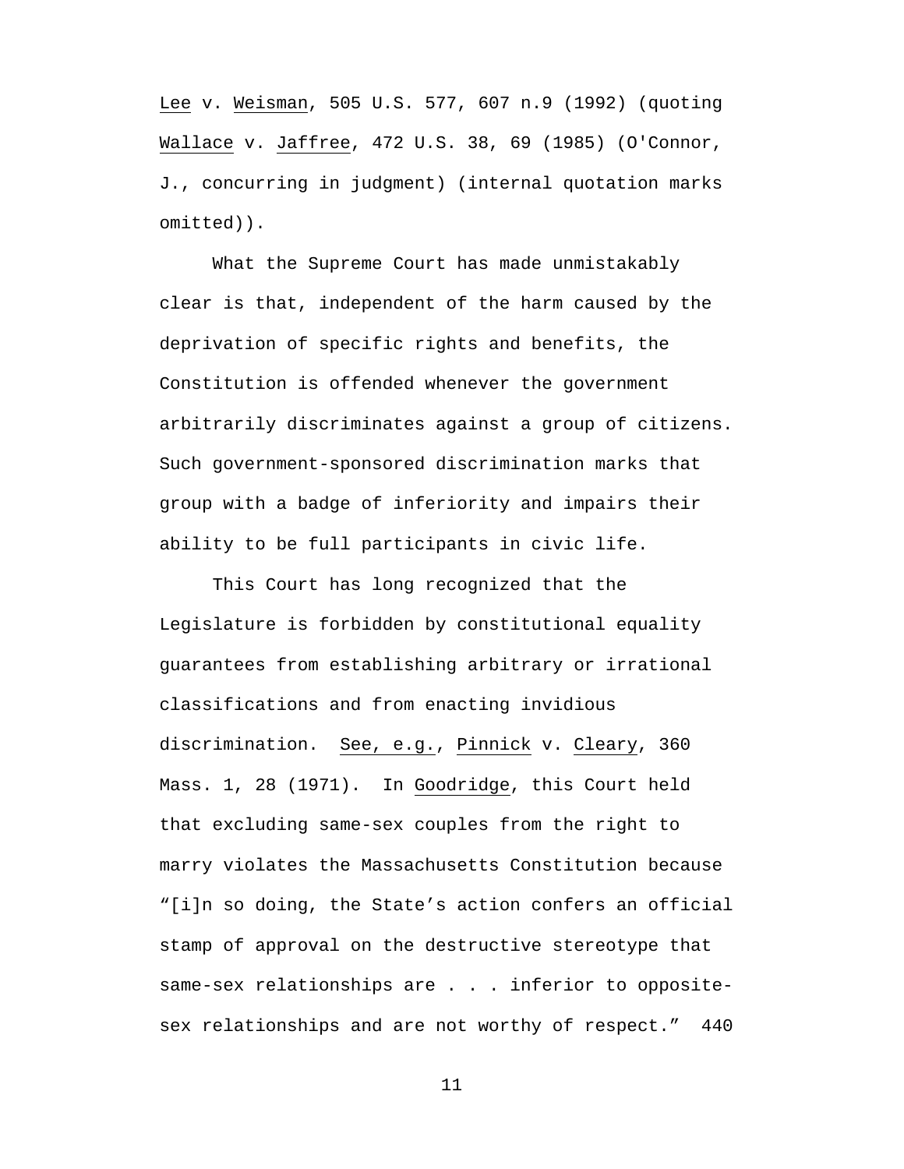Lee v. Weisman, 505 U.S. 577, 607 n.9 (1992) (quoting Wallace v. Jaffree, 472 U.S. 38, 69 (1985) (O'Connor, J., concurring in judgment) (internal quotation marks omitted)).

What the Supreme Court has made unmistakably clear is that, independent of the harm caused by the deprivation of specific rights and benefits, the Constitution is offended whenever the government arbitrarily discriminates against a group of citizens. Such government-sponsored discrimination marks that group with a badge of inferiority and impairs their ability to be full participants in civic life.

This Court has long recognized that the Legislature is forbidden by constitutional equality guarantees from establishing arbitrary or irrational classifications and from enacting invidious discrimination. See, e.g., Pinnick v. Cleary, 360 Mass. 1, 28 (1971). In Goodridge, this Court held that excluding same-sex couples from the right to marry violates the Massachusetts Constitution because "[i]n so doing, the State's action confers an official stamp of approval on the destructive stereotype that same-sex relationships are . . . inferior to oppositesex relationships and are not worthy of respect." 440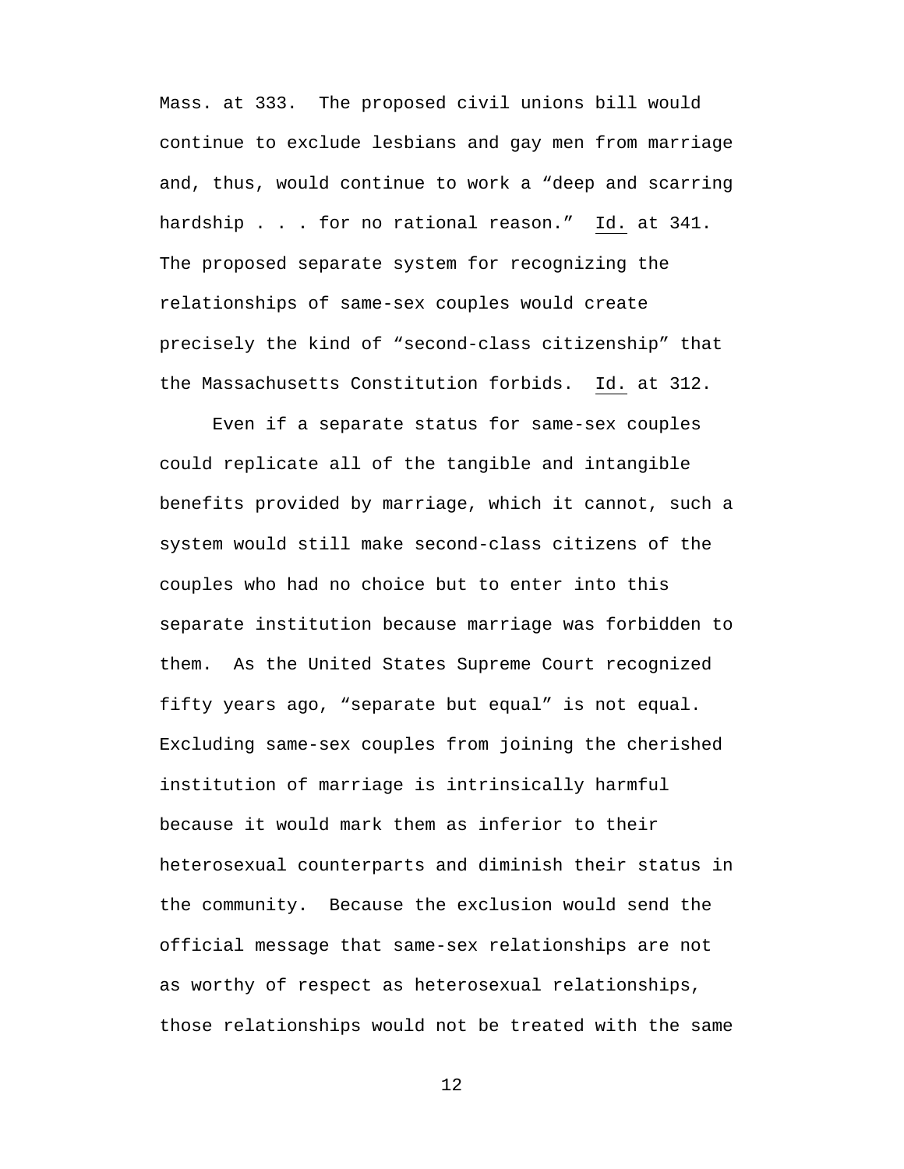Mass. at 333. The proposed civil unions bill would continue to exclude lesbians and gay men from marriage and, thus, would continue to work a "deep and scarring hardship . . . for no rational reason." Id. at 341. The proposed separate system for recognizing the relationships of same-sex couples would create precisely the kind of "second-class citizenship" that the Massachusetts Constitution forbids. Id. at 312.

Even if a separate status for same-sex couples could replicate all of the tangible and intangible benefits provided by marriage, which it cannot, such a system would still make second-class citizens of the couples who had no choice but to enter into this separate institution because marriage was forbidden to them. As the United States Supreme Court recognized fifty years ago, "separate but equal" is not equal. Excluding same-sex couples from joining the cherished institution of marriage is intrinsically harmful because it would mark them as inferior to their heterosexual counterparts and diminish their status in the community. Because the exclusion would send the official message that same-sex relationships are not as worthy of respect as heterosexual relationships, those relationships would not be treated with the same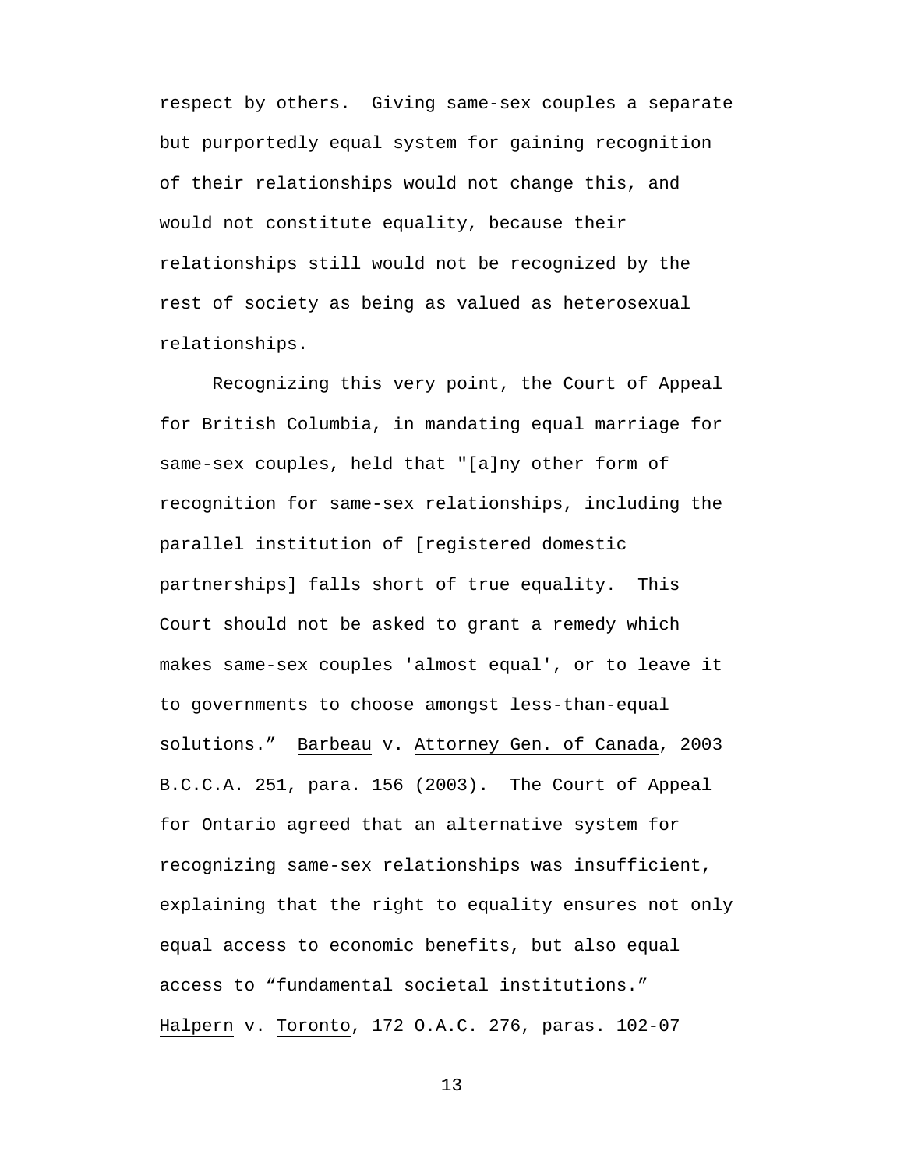respect by others. Giving same-sex couples a separate but purportedly equal system for gaining recognition of their relationships would not change this, and would not constitute equality, because their relationships still would not be recognized by the rest of society as being as valued as heterosexual relationships.

Recognizing this very point, the Court of Appeal for British Columbia, in mandating equal marriage for same-sex couples, held that "[a]ny other form of recognition for same-sex relationships, including the parallel institution of [registered domestic partnerships] falls short of true equality. This Court should not be asked to grant a remedy which makes same-sex couples 'almost equal', or to leave it to governments to choose amongst less-than-equal solutions." Barbeau v. Attorney Gen. of Canada, 2003 B.C.C.A. 251, para. 156 (2003). The Court of Appeal for Ontario agreed that an alternative system for recognizing same-sex relationships was insufficient, explaining that the right to equality ensures not only equal access to economic benefits, but also equal access to "fundamental societal institutions." Halpern v. Toronto, 172 O.A.C. 276, paras. 102-07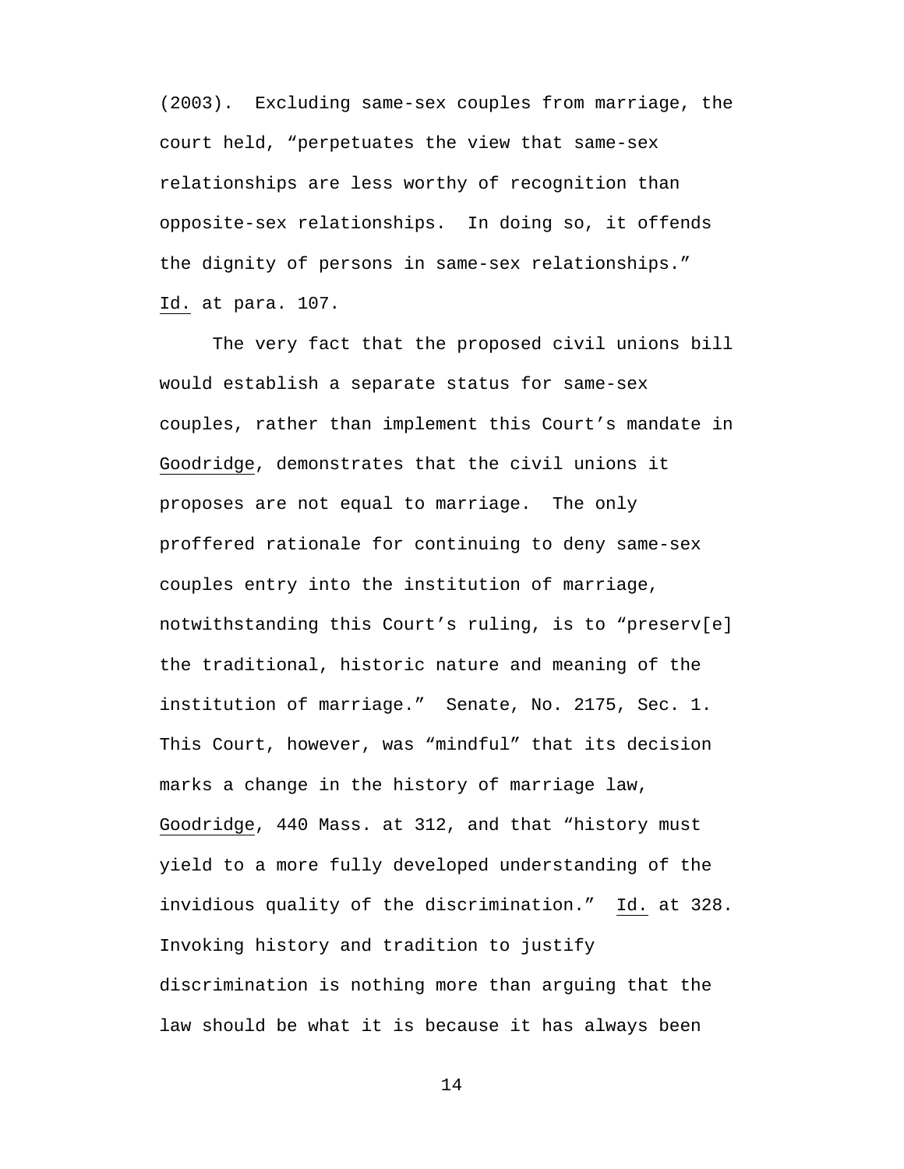(2003). Excluding same-sex couples from marriage, the court held, "perpetuates the view that same-sex relationships are less worthy of recognition than opposite-sex relationships. In doing so, it offends the dignity of persons in same-sex relationships." Id. at para. 107.

The very fact that the proposed civil unions bill would establish a separate status for same-sex couples, rather than implement this Court's mandate in Goodridge, demonstrates that the civil unions it proposes are not equal to marriage. The only proffered rationale for continuing to deny same-sex couples entry into the institution of marriage, notwithstanding this Court's ruling, is to "preserv[e] the traditional, historic nature and meaning of the institution of marriage." Senate, No. 2175, Sec. 1. This Court, however, was "mindful" that its decision marks a change in the history of marriage law, Goodridge, 440 Mass. at 312, and that "history must yield to a more fully developed understanding of the invidious quality of the discrimination." Id. at 328. Invoking history and tradition to justify discrimination is nothing more than arguing that the law should be what it is because it has always been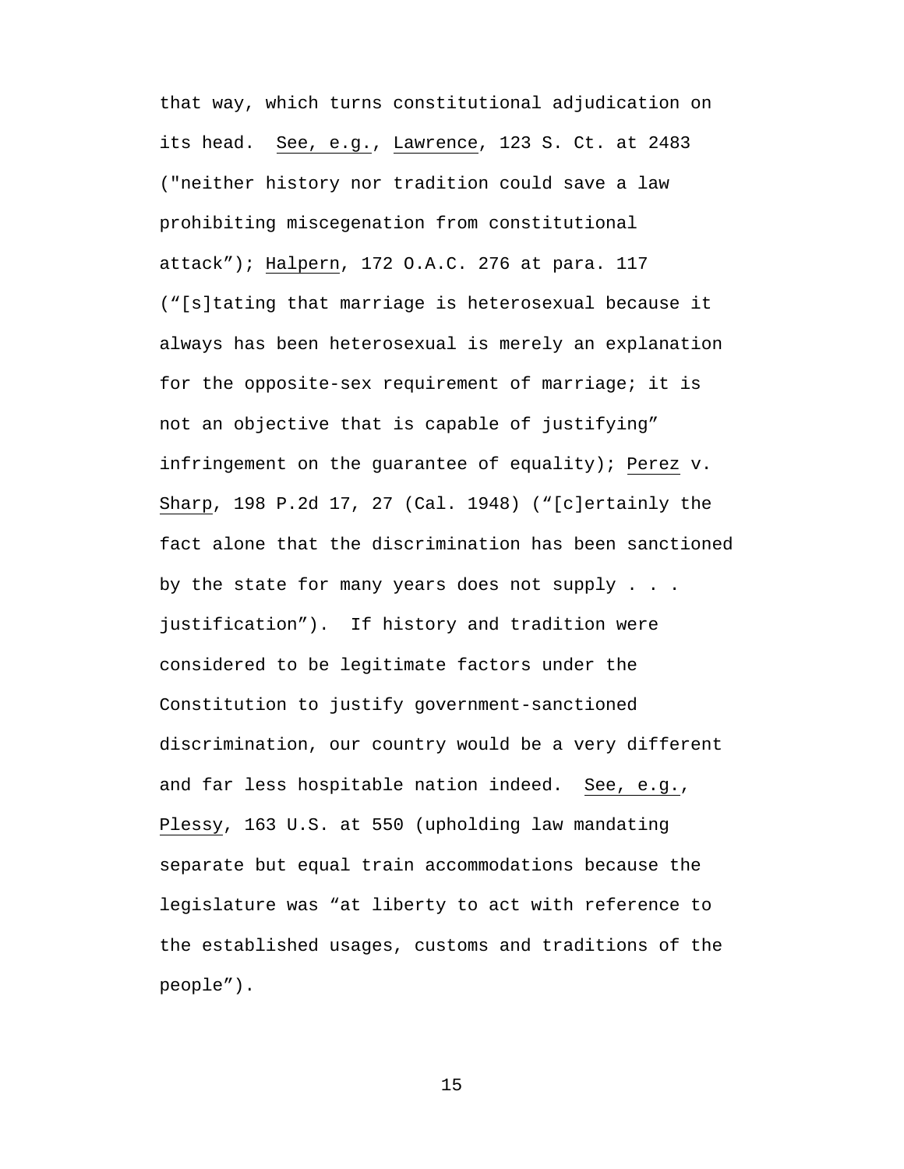that way, which turns constitutional adjudication on its head. See, e.g., Lawrence, 123 S. Ct. at 2483 ("neither history nor tradition could save a law prohibiting miscegenation from constitutional attack"); Halpern, 172 O.A.C. 276 at para. 117 ("[s]tating that marriage is heterosexual because it always has been heterosexual is merely an explanation for the opposite-sex requirement of marriage; it is not an objective that is capable of justifying" infringement on the guarantee of equality); Perez v. Sharp, 198 P.2d 17, 27 (Cal. 1948) ("[c]ertainly the fact alone that the discrimination has been sanctioned by the state for many years does not supply . . . justification"). If history and tradition were considered to be legitimate factors under the Constitution to justify government-sanctioned discrimination, our country would be a very different and far less hospitable nation indeed. See, e.g., Plessy, 163 U.S. at 550 (upholding law mandating separate but equal train accommodations because the legislature was "at liberty to act with reference to the established usages, customs and traditions of the people").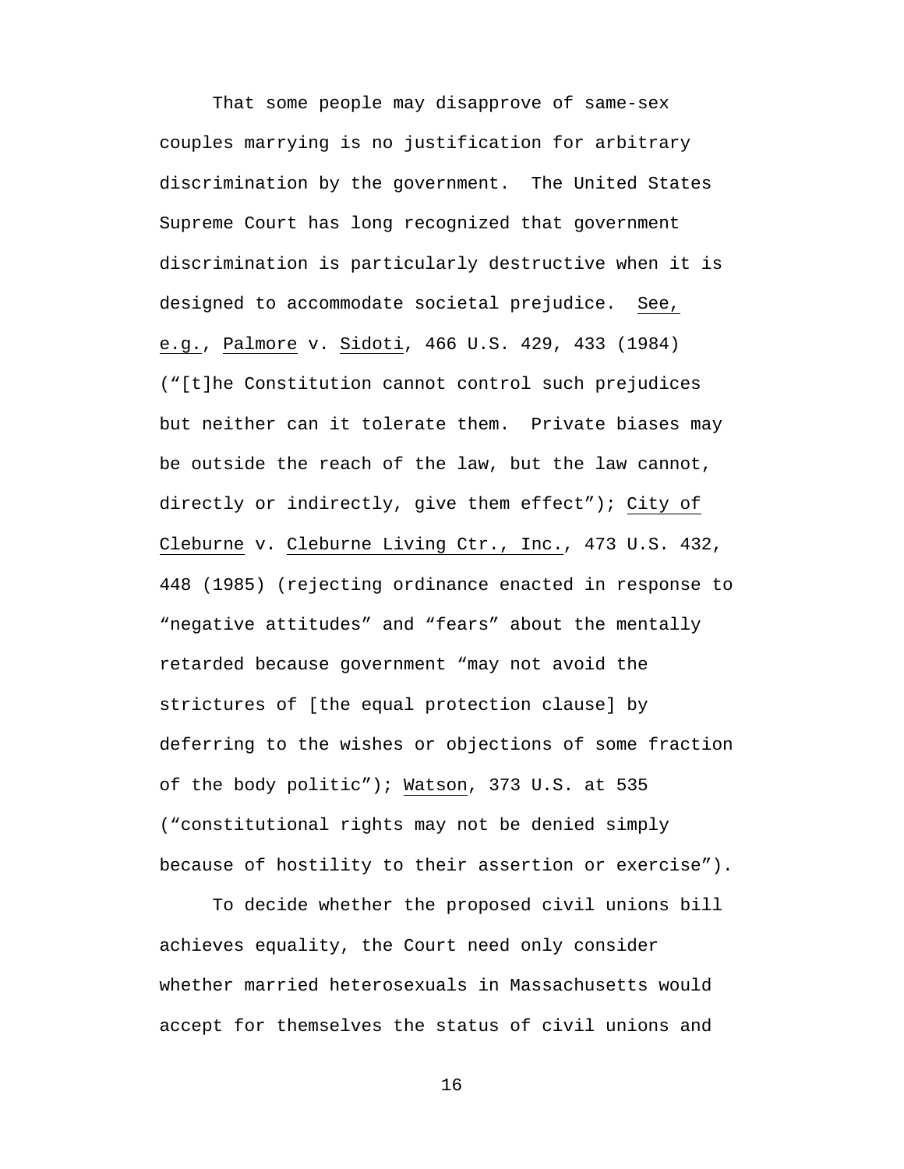That some people may disapprove of same-sex couples marrying is no justification for arbitrary discrimination by the government. The United States Supreme Court has long recognized that government discrimination is particularly destructive when it is designed to accommodate societal prejudice. See, e.g., Palmore v. Sidoti, 466 U.S. 429, 433 (1984) ("[t]he Constitution cannot control such prejudices but neither can it tolerate them. Private biases may be outside the reach of the law, but the law cannot, directly or indirectly, give them effect"); City of Cleburne v. Cleburne Living Ctr., Inc., 473 U.S. 432, 448 (1985) (rejecting ordinance enacted in response to "negative attitudes" and "fears" about the mentally retarded because government "may not avoid the strictures of [the equal protection clause] by deferring to the wishes or objections of some fraction of the body politic"); Watson, 373 U.S. at 535 ("constitutional rights may not be denied simply because of hostility to their assertion or exercise").

To decide whether the proposed civil unions bill achieves equality, the Court need only consider whether married heterosexuals in Massachusetts would accept for themselves the status of civil unions and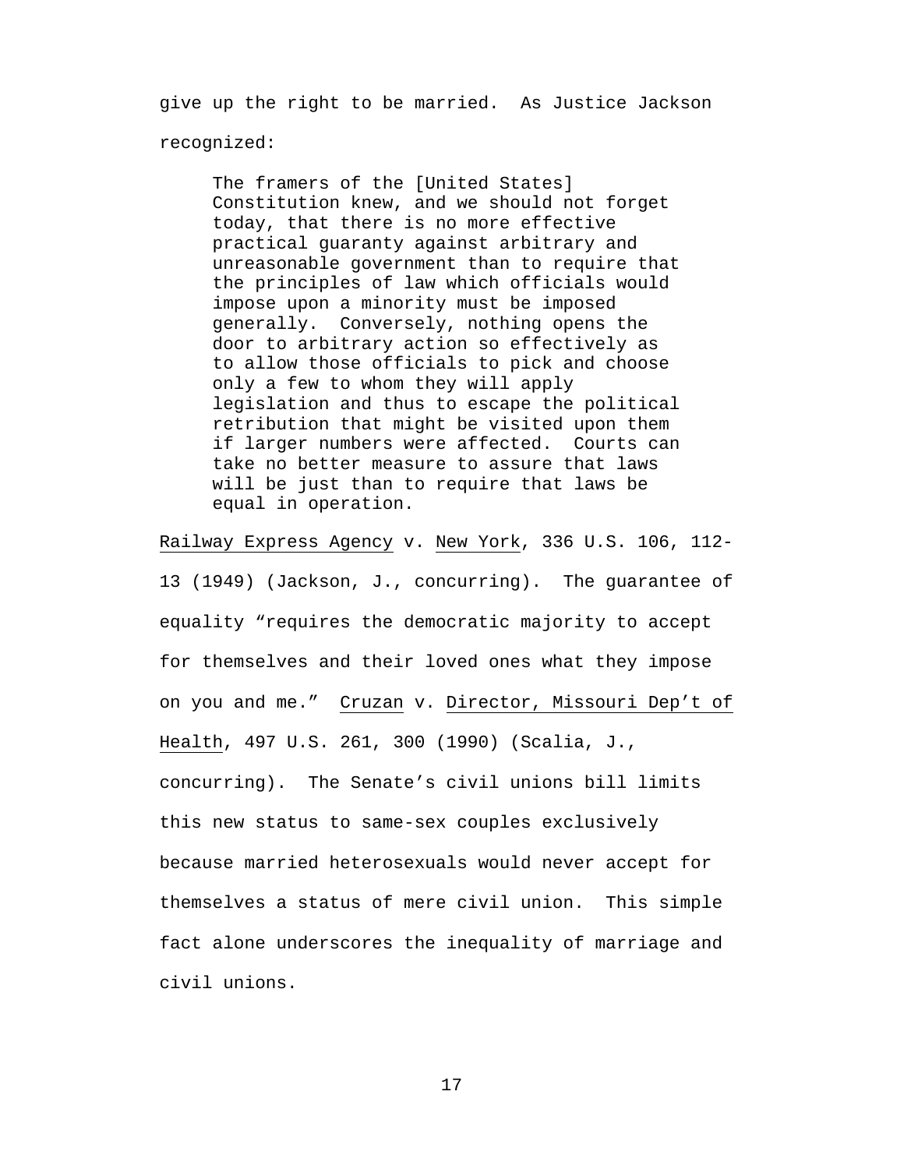give up the right to be married. As Justice Jackson recognized:

The framers of the [United States] Constitution knew, and we should not forget today, that there is no more effective practical guaranty against arbitrary and unreasonable government than to require that the principles of law which officials would impose upon a minority must be imposed generally. Conversely, nothing opens the door to arbitrary action so effectively as to allow those officials to pick and choose only a few to whom they will apply legislation and thus to escape the political retribution that might be visited upon them if larger numbers were affected. Courts can take no better measure to assure that laws will be just than to require that laws be equal in operation.

Railway Express Agency v. New York, 336 U.S. 106, 112-

13 (1949) (Jackson, J., concurring). The guarantee of equality "requires the democratic majority to accept for themselves and their loved ones what they impose on you and me." Cruzan v. Director, Missouri Dep't of Health, 497 U.S. 261, 300 (1990) (Scalia, J., concurring). The Senate's civil unions bill limits this new status to same-sex couples exclusively because married heterosexuals would never accept for themselves a status of mere civil union. This simple fact alone underscores the inequality of marriage and civil unions.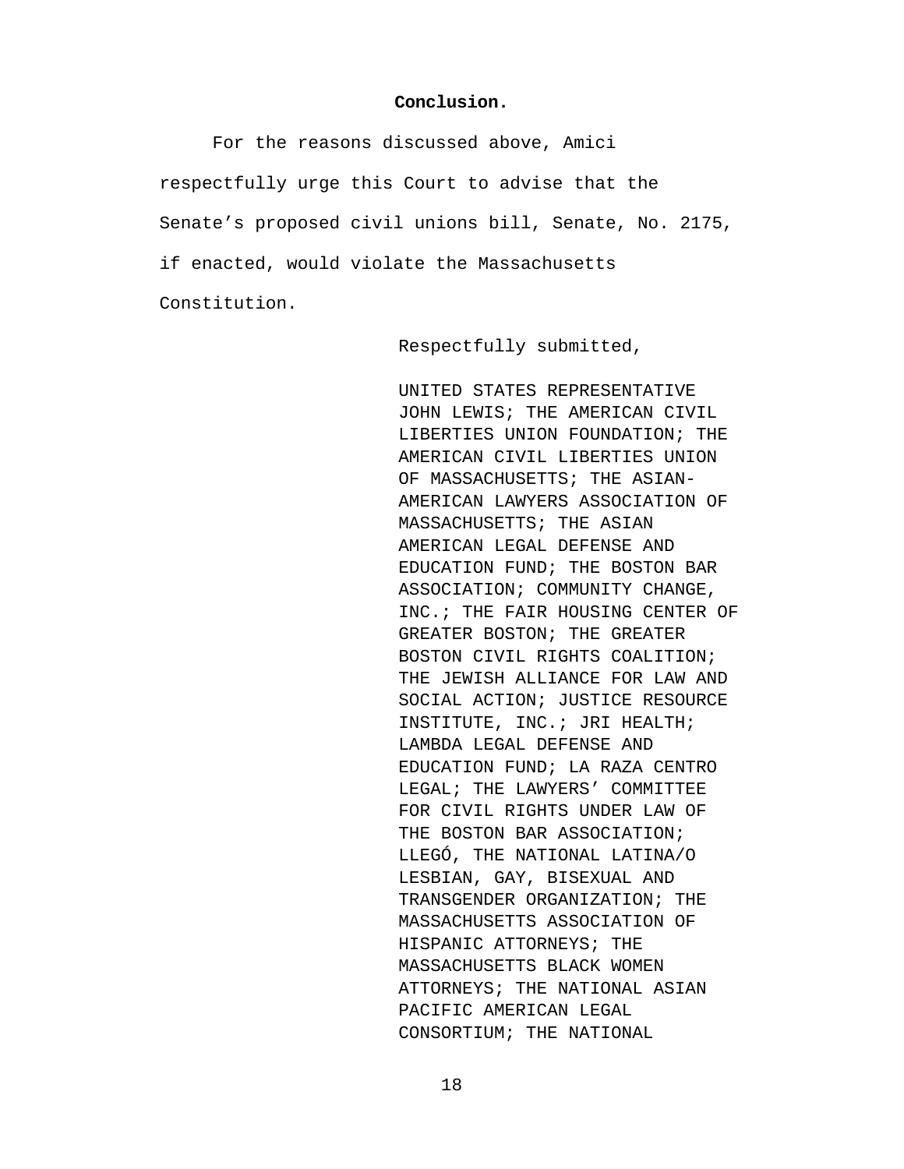#### **Conclusion.**

<span id="page-22-0"></span>For the reasons discussed above, Amici respectfully urge this Court to advise that the Senate's proposed civil unions bill, Senate, No. 2175, if enacted, would violate the Massachusetts Constitution.

Respectfully submitted,

UNITED STATES REPRESENTATIVE JOHN LEWIS; THE AMERICAN CIVIL LIBERTIES UNION FOUNDATION; THE AMERICAN CIVIL LIBERTIES UNION OF MASSACHUSETTS; THE ASIAN-AMERICAN LAWYERS ASSOCIATION OF MASSACHUSETTS; THE ASIAN AMERICAN LEGAL DEFENSE AND EDUCATION FUND; THE BOSTON BAR ASSOCIATION; COMMUNITY CHANGE, INC.; THE FAIR HOUSING CENTER OF GREATER BOSTON; THE GREATER BOSTON CIVIL RIGHTS COALITION; THE JEWISH ALLIANCE FOR LAW AND SOCIAL ACTION; JUSTICE RESOURCE INSTITUTE, INC.; JRI HEALTH; LAMBDA LEGAL DEFENSE AND EDUCATION FUND; LA RAZA CENTRO LEGAL; THE LAWYERS' COMMITTEE FOR CIVIL RIGHTS UNDER LAW OF THE BOSTON BAR ASSOCIATION; LLEGÓ, THE NATIONAL LATINA/O LESBIAN, GAY, BISEXUAL AND TRANSGENDER ORGANIZATION; THE MASSACHUSETTS ASSOCIATION OF HISPANIC ATTORNEYS; THE MASSACHUSETTS BLACK WOMEN ATTORNEYS; THE NATIONAL ASIAN PACIFIC AMERICAN LEGAL CONSORTIUM; THE NATIONAL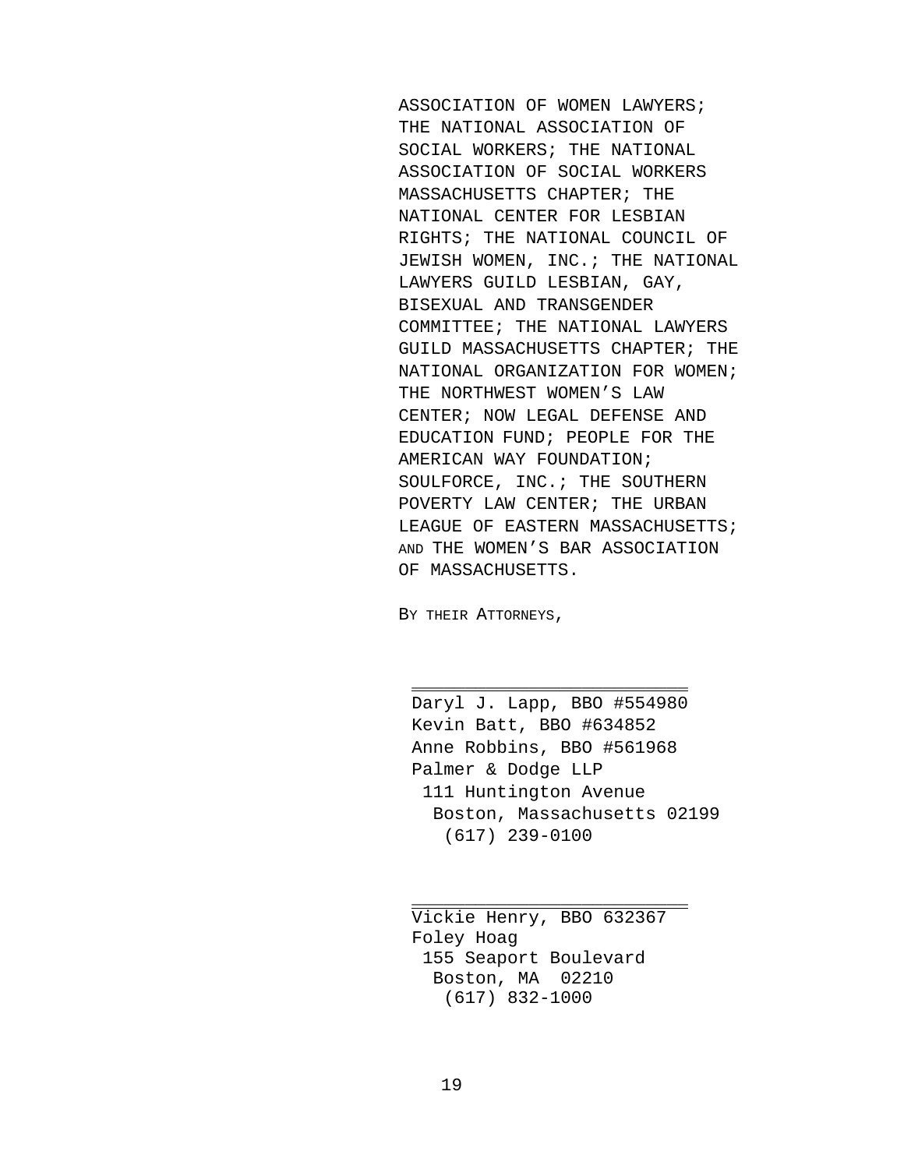ASSOCIATION OF WOMEN LAWYERS; THE NATIONAL ASSOCIATION OF SOCIAL WORKERS; THE NATIONAL ASSOCIATION OF SOCIAL WORKERS MASSACHUSETTS CHAPTER; THE NATIONAL CENTER FOR LESBIAN RIGHTS; THE NATIONAL COUNCIL OF JEWISH WOMEN, INC.; THE NATIONAL LAWYERS GUILD LESBIAN, GAY, BISEXUAL AND TRANSGENDER COMMITTEE; THE NATIONAL LAWYERS GUILD MASSACHUSETTS CHAPTER; THE NATIONAL ORGANIZATION FOR WOMEN; THE NORTHWEST WOMEN'S LAW CENTER; NOW LEGAL DEFENSE AND EDUCATION FUND; PEOPLE FOR THE AMERICAN WAY FOUNDATION; SOULFORCE, INC.; THE SOUTHERN POVERTY LAW CENTER; THE URBAN LEAGUE OF EASTERN MASSACHUSETTS; AND THE WOMEN'S BAR ASSOCIATION OF MASSACHUSETTS.

BY THEIR ATTORNEYS,

Daryl J. Lapp, BBO #554980 Kevin Batt, BBO #634852 Anne Robbins, BBO #561968 Palmer & Dodge LLP 111 Huntington Avenue Boston, Massachusetts 02199 (617) 239-0100

\_\_\_\_\_\_\_\_\_\_\_\_\_\_\_\_\_\_\_\_\_\_\_\_\_\_

Vickie Henry, BBO 632367 Foley Hoag 155 Seaport Boulevard Boston, MA 02210 (617) 832-1000

\_\_\_\_\_\_\_\_\_\_\_\_\_\_\_\_\_\_\_\_\_\_\_\_\_\_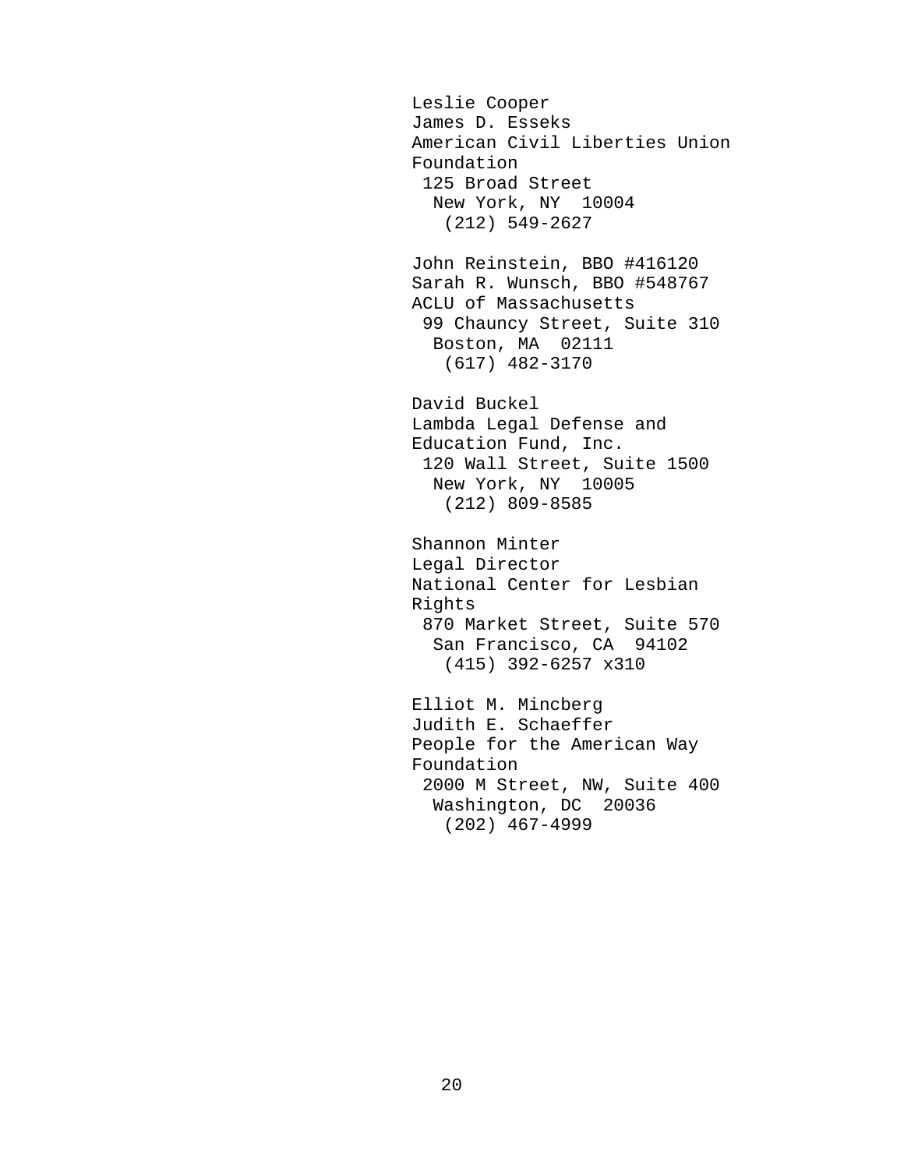Leslie Cooper James D. Esseks American Civil Liberties Union Foundation 125 Broad Street New York, NY 10004 (212) 549-2627 John Reinstein, BBO #416120 Sarah R. Wunsch, BBO #548767 ACLU of Massachusetts 99 Chauncy Street, Suite 310 Boston, MA 02111 (617) 482-3170 David Buckel Lambda Legal Defense and Education Fund, Inc. 120 Wall Street, Suite 1500 New York, NY 10005 (212) 809-8585 Shannon Minter Legal Director National Center for Lesbian Rights 870 Market Street, Suite 570 San Francisco, CA 94102 (415) 392-6257 x310 Elliot M. Mincberg Judith E. Schaeffer People for the American Way Foundation 2000 M Street, NW, Suite 400 Washington, DC 20036 (202) 467-4999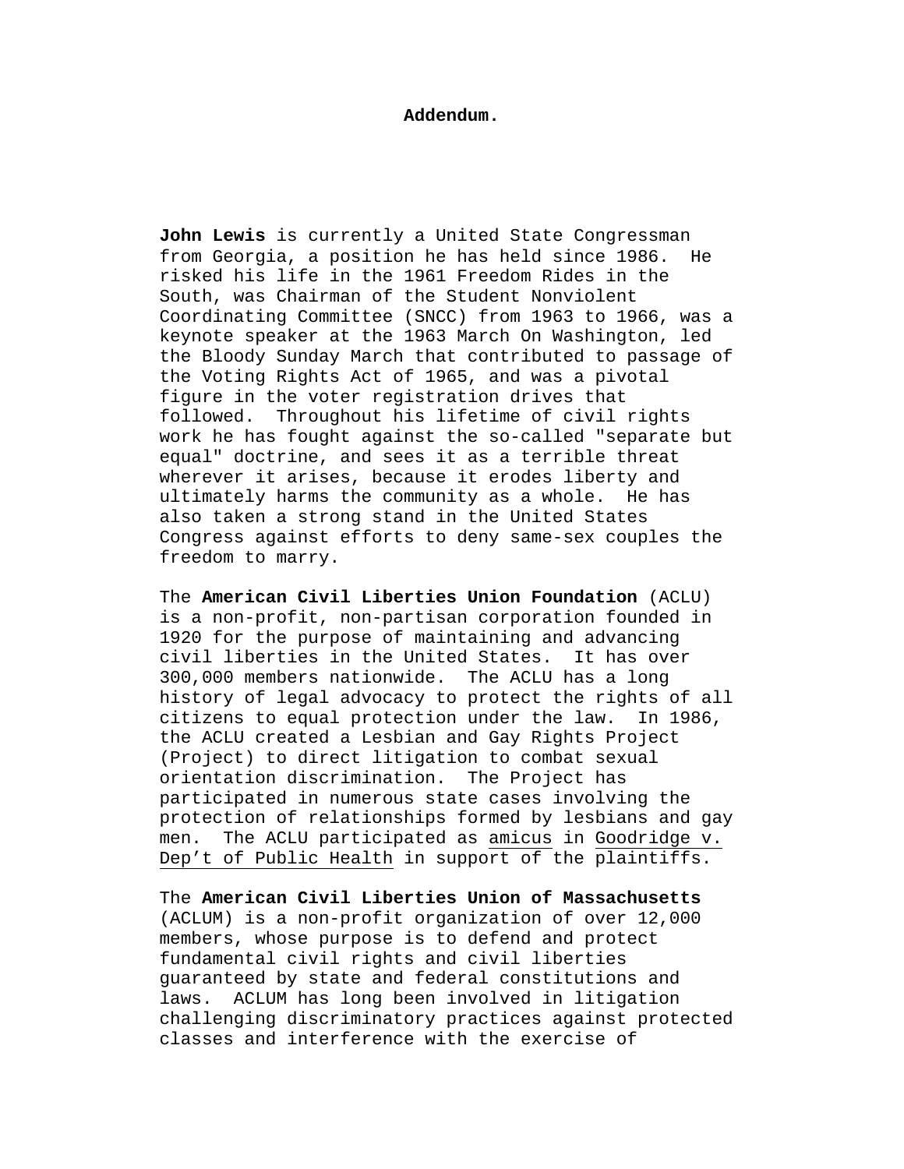#### **Addendum.**

**John Lewis** is currently a United State Congressman from Georgia, a position he has held since 1986. He risked his life in the 1961 Freedom Rides in the South, was Chairman of the Student Nonviolent Coordinating Committee (SNCC) from 1963 to 1966, was a keynote speaker at the 1963 March On Washington, led the Bloody Sunday March that contributed to passage of the Voting Rights Act of 1965, and was a pivotal figure in the voter registration drives that followed. Throughout his lifetime of civil rights work he has fought against the so-called "separate but equal" doctrine, and sees it as a terrible threat wherever it arises, because it erodes liberty and ultimately harms the community as a whole. He has also taken a strong stand in the United States Congress against efforts to deny same-sex couples the freedom to marry.

The **American Civil Liberties Union Foundation** (ACLU) is a non-profit, non-partisan corporation founded in 1920 for the purpose of maintaining and advancing civil liberties in the United States. It has over 300,000 members nationwide. The ACLU has a long history of legal advocacy to protect the rights of all citizens to equal protection under the law. In 1986, the ACLU created a Lesbian and Gay Rights Project (Project) to direct litigation to combat sexual orientation discrimination. The Project has participated in numerous state cases involving the protection of relationships formed by lesbians and gay men. The ACLU participated as amicus in Goodridge v. Dep't of Public Health in support of the plaintiffs.

The **American Civil Liberties Union of Massachusetts**  (ACLUM) is a non-profit organization of over 12,000 members, whose purpose is to defend and protect fundamental civil rights and civil liberties guaranteed by state and federal constitutions and laws. ACLUM has long been involved in litigation challenging discriminatory practices against protected classes and interference with the exercise of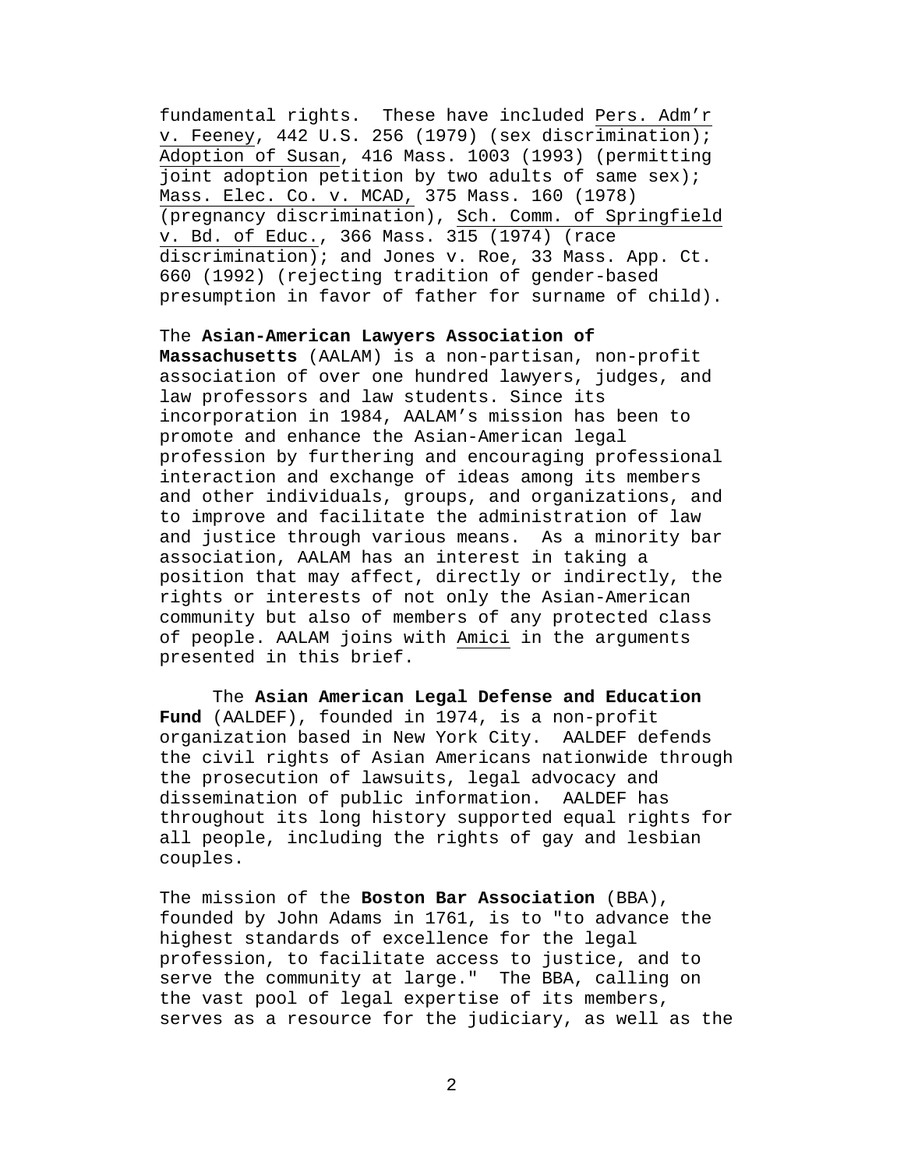fundamental rights. These have included Pers. Adm'r v. Feeney, 442 U.S. 256 (1979) (sex discrimination); Adoption of Susan, 416 Mass. 1003 (1993) (permitting joint adoption petition by two adults of same sex); Mass. Elec. Co. v. MCAD, 375 Mass. 160 (1978) (pregnancy discrimination), Sch. Comm. of Springfield v. Bd. of Educ., 366 Mass. 315 (1974) (race discrimination); and Jones v. Roe, 33 Mass. App. Ct. 660 (1992) (rejecting tradition of gender-based presumption in favor of father for surname of child).

# The **Asian-American Lawyers Association of**

**Massachusetts** (AALAM) is a non-partisan, non-profit association of over one hundred lawyers, judges, and law professors and law students. Since its incorporation in 1984, AALAM's mission has been to promote and enhance the Asian-American legal profession by furthering and encouraging professional interaction and exchange of ideas among its members and other individuals, groups, and organizations, and to improve and facilitate the administration of law and justice through various means. As a minority bar association, AALAM has an interest in taking a position that may affect, directly or indirectly, the rights or interests of not only the Asian-American community but also of members of any protected class of people. AALAM joins with Amici in the arguments presented in this brief.

The **Asian American Legal Defense and Education Fund** (AALDEF), founded in 1974, is a non-profit organization based in New York City. AALDEF defends the civil rights of Asian Americans nationwide through the prosecution of lawsuits, legal advocacy and dissemination of public information. AALDEF has throughout its long history supported equal rights for all people, including the rights of gay and lesbian couples.

The mission of the **Boston Bar Association** (BBA), founded by John Adams in 1761, is to "to advance the highest standards of excellence for the legal profession, to facilitate access to justice, and to serve the community at large." The BBA, calling on the vast pool of legal expertise of its members, serves as a resource for the judiciary, as well as the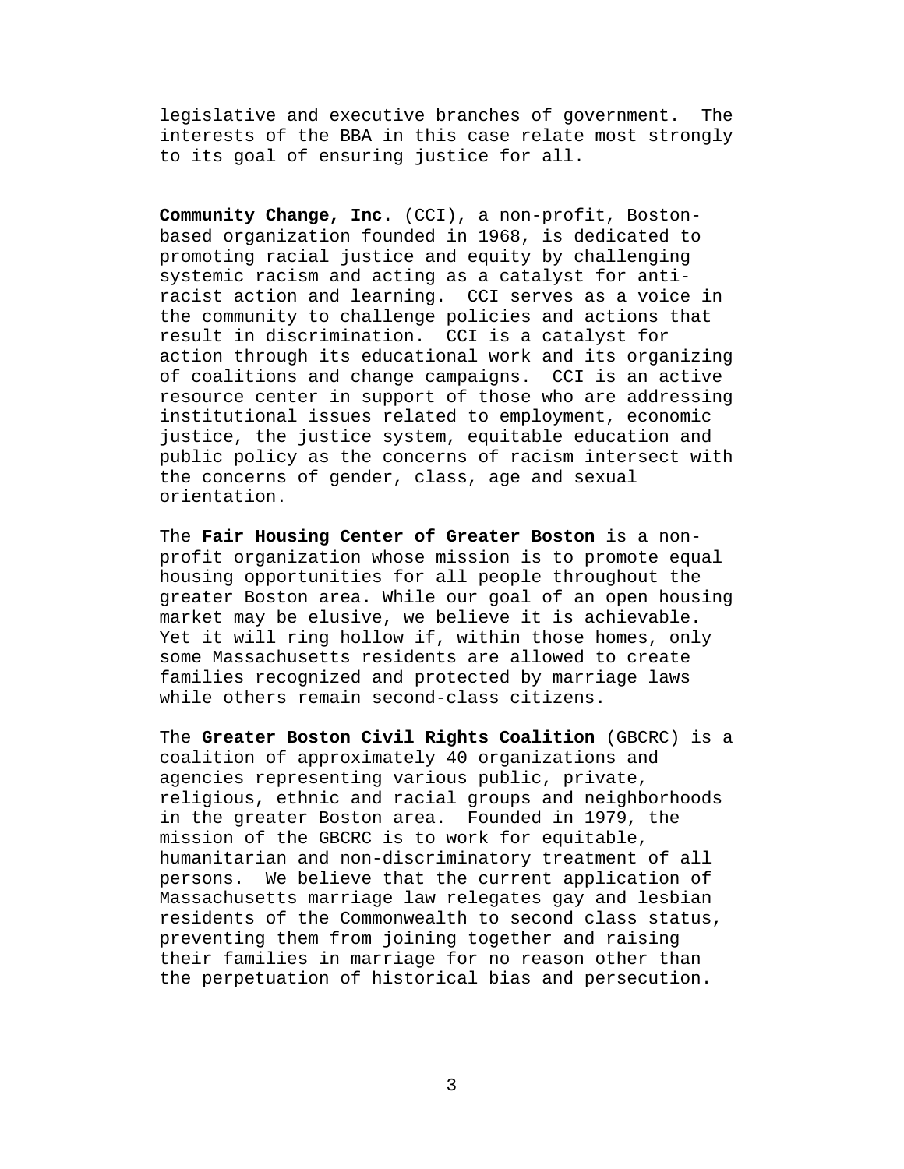legislative and executive branches of government. The interests of the BBA in this case relate most strongly to its goal of ensuring justice for all.

**Community Change, Inc.** (CCI), a non-profit, Bostonbased organization founded in 1968, is dedicated to promoting racial justice and equity by challenging systemic racism and acting as a catalyst for antiracist action and learning. CCI serves as a voice in the community to challenge policies and actions that result in discrimination. CCI is a catalyst for action through its educational work and its organizing of coalitions and change campaigns. CCI is an active resource center in support of those who are addressing institutional issues related to employment, economic justice, the justice system, equitable education and public policy as the concerns of racism intersect with the concerns of gender, class, age and sexual orientation.

The **Fair Housing Center of Greater Boston** is a nonprofit organization whose mission is to promote equal housing opportunities for all people throughout the greater Boston area. While our goal of an open housing market may be elusive, we believe it is achievable. Yet it will ring hollow if, within those homes, only some Massachusetts residents are allowed to create families recognized and protected by marriage laws while others remain second-class citizens.

The **Greater Boston Civil Rights Coalition** (GBCRC) is a coalition of approximately 40 organizations and agencies representing various public, private, religious, ethnic and racial groups and neighborhoods in the greater Boston area. Founded in 1979, the mission of the GBCRC is to work for equitable, humanitarian and non-discriminatory treatment of all persons. We believe that the current application of Massachusetts marriage law relegates gay and lesbian residents of the Commonwealth to second class status, preventing them from joining together and raising their families in marriage for no reason other than the perpetuation of historical bias and persecution.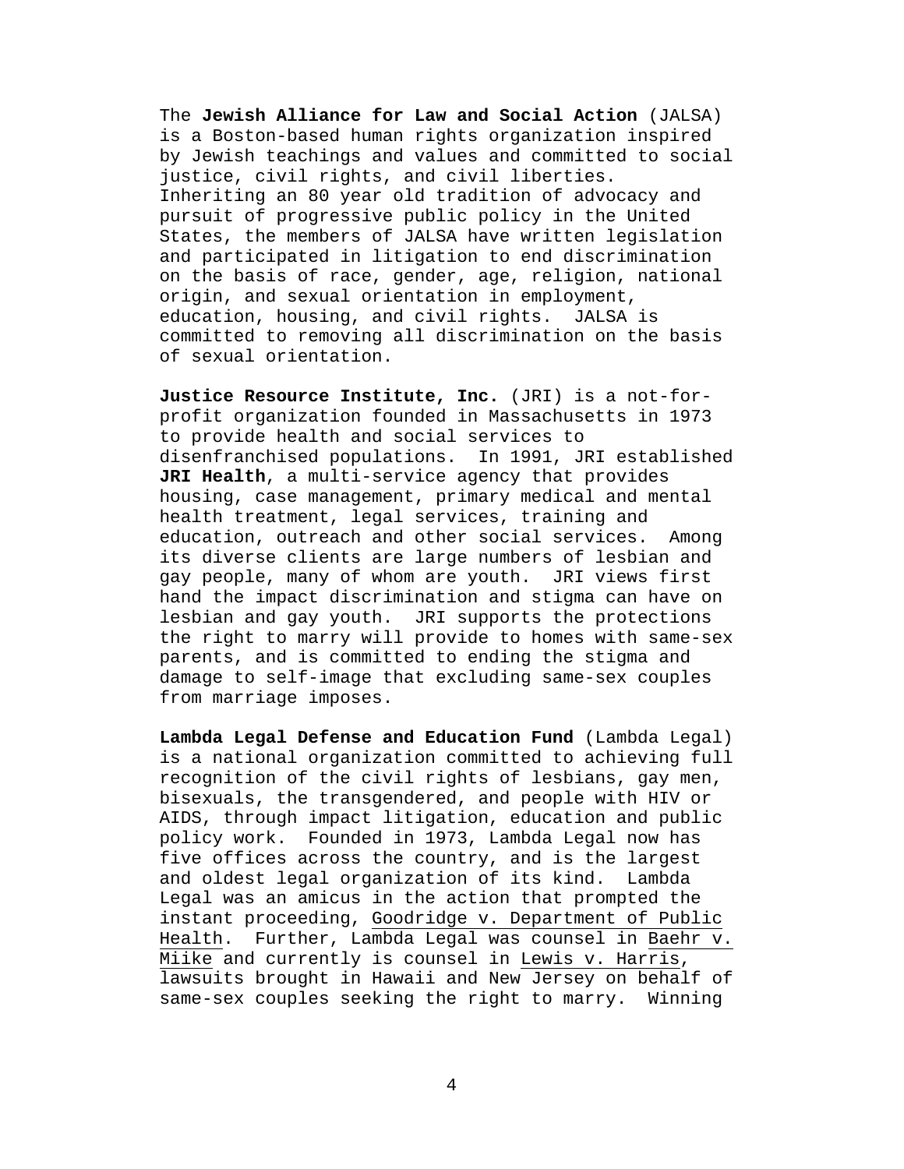The **Jewish Alliance for Law and Social Action** (JALSA) is a Boston-based human rights organization inspired by Jewish teachings and values and committed to social justice, civil rights, and civil liberties. Inheriting an 80 year old tradition of advocacy and pursuit of progressive public policy in the United States, the members of JALSA have written legislation and participated in litigation to end discrimination on the basis of race, gender, age, religion, national origin, and sexual orientation in employment, education, housing, and civil rights. JALSA is committed to removing all discrimination on the basis of sexual orientation.

**Justice Resource Institute, Inc.** (JRI) is a not-forprofit organization founded in Massachusetts in 1973 to provide health and social services to disenfranchised populations. In 1991, JRI established **JRI Health**, a multi-service agency that provides housing, case management, primary medical and mental health treatment, legal services, training and education, outreach and other social services. Among its diverse clients are large numbers of lesbian and gay people, many of whom are youth. JRI views first hand the impact discrimination and stigma can have on lesbian and gay youth. JRI supports the protections the right to marry will provide to homes with same-sex parents, and is committed to ending the stigma and damage to self-image that excluding same-sex couples from marriage imposes.

**Lambda Legal Defense and Education Fund** (Lambda Legal) is a national organization committed to achieving full recognition of the civil rights of lesbians, gay men, bisexuals, the transgendered, and people with HIV or AIDS, through impact litigation, education and public policy work. Founded in 1973, Lambda Legal now has five offices across the country, and is the largest and oldest legal organization of its kind. Lambda Legal was an amicus in the action that prompted the instant proceeding, Goodridge v. Department of Public Health. Further, Lambda Legal was counsel in Baehr v. Miike and currently is counsel in Lewis v. Harris, lawsuits brought in Hawaii and New Jersey on behalf of same-sex couples seeking the right to marry. Winning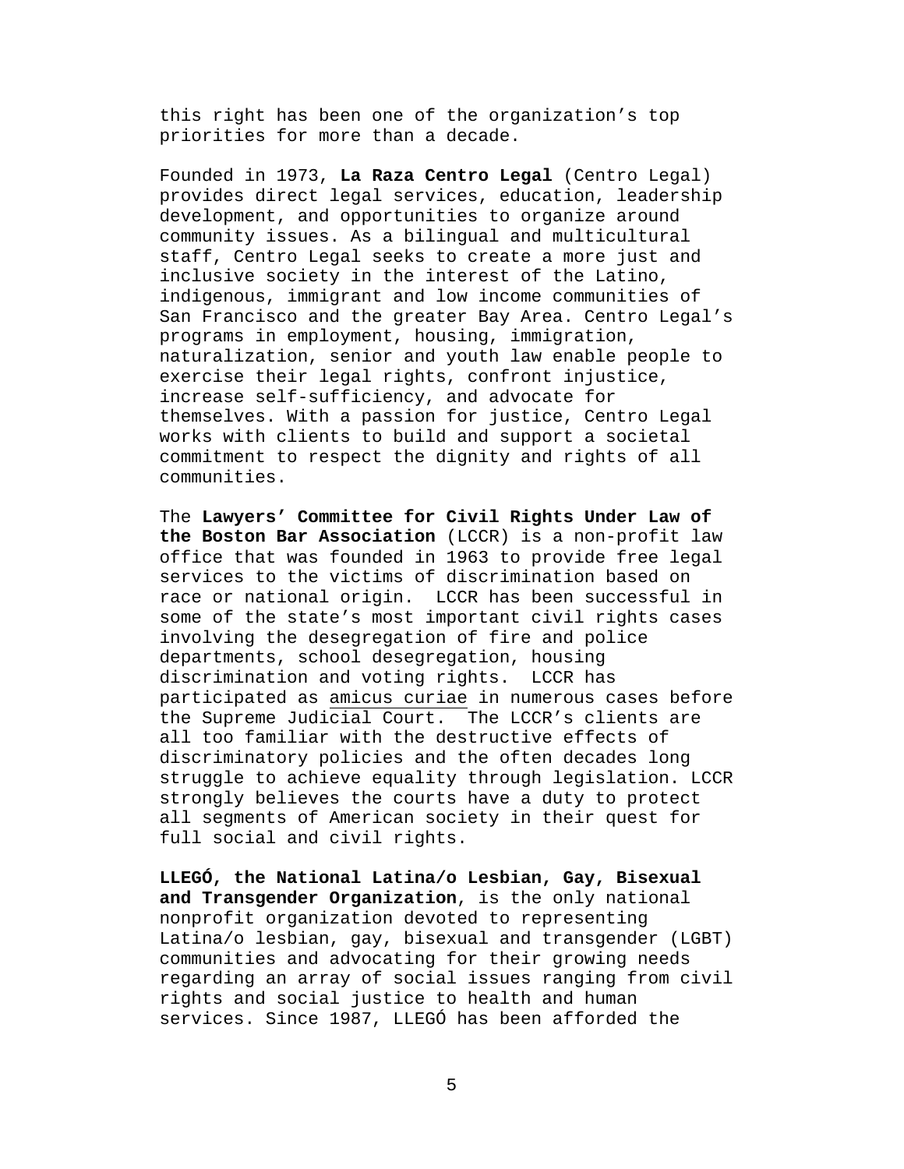this right has been one of the organization's top priorities for more than a decade.

Founded in 1973, **La Raza Centro Legal** (Centro Legal) provides direct legal services, education, leadership development, and opportunities to organize around community issues. As a bilingual and multicultural staff, Centro Legal seeks to create a more just and inclusive society in the interest of the Latino, indigenous, immigrant and low income communities of San Francisco and the greater Bay Area. Centro Legal's programs in employment, housing, immigration, naturalization, senior and youth law enable people to exercise their legal rights, confront injustice, increase self-sufficiency, and advocate for themselves. With a passion for justice, Centro Legal works with clients to build and support a societal commitment to respect the dignity and rights of all communities.

The **Lawyers' Committee for Civil Rights Under Law of the Boston Bar Association** (LCCR) is a non-profit law office that was founded in 1963 to provide free legal services to the victims of discrimination based on race or national origin. LCCR has been successful in some of the state's most important civil rights cases involving the desegregation of fire and police departments, school desegregation, housing discrimination and voting rights. LCCR has participated as amicus curiae in numerous cases before the Supreme Judicial Court. The LCCR's clients are all too familiar with the destructive effects of discriminatory policies and the often decades long struggle to achieve equality through legislation. LCCR strongly believes the courts have a duty to protect all segments of American society in their quest for full social and civil rights.

**LLEGÓ, the National Latina/o Lesbian, Gay, Bisexual and Transgender Organization**, is the only national nonprofit organization devoted to representing Latina/o lesbian, gay, bisexual and transgender (LGBT) communities and advocating for their growing needs regarding an array of social issues ranging from civil rights and social justice to health and human services. Since 1987, LLEGÓ has been afforded the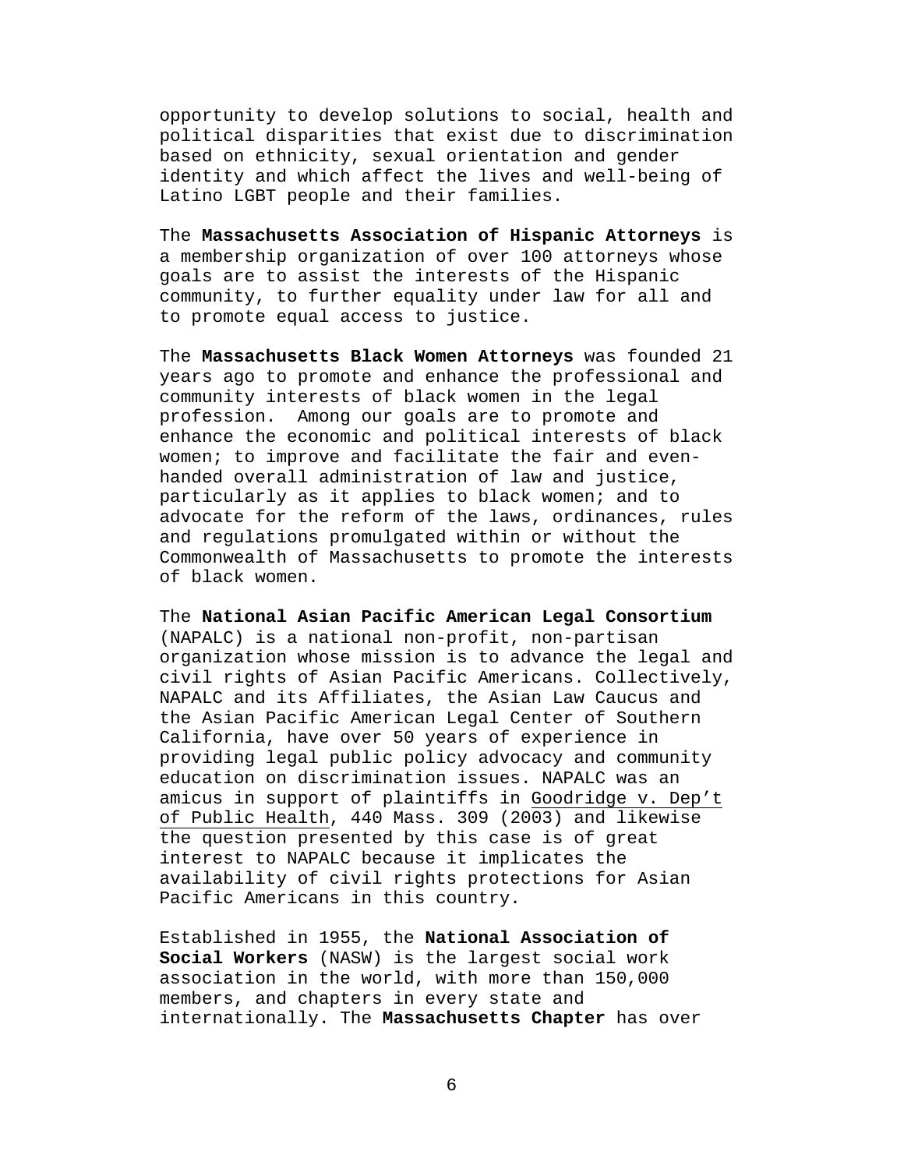opportunity to develop solutions to social, health and political disparities that exist due to discrimination based on ethnicity, sexual orientation and gender identity and which affect the lives and well-being of Latino LGBT people and their families.

The **Massachusetts Association of Hispanic Attorneys** is a membership organization of over 100 attorneys whose goals are to assist the interests of the Hispanic community, to further equality under law for all and to promote equal access to justice.

The **Massachusetts Black Women Attorneys** was founded 21 years ago to promote and enhance the professional and community interests of black women in the legal profession. Among our goals are to promote and enhance the economic and political interests of black women; to improve and facilitate the fair and evenhanded overall administration of law and justice, particularly as it applies to black women; and to advocate for the reform of the laws, ordinances, rules and regulations promulgated within or without the Commonwealth of Massachusetts to promote the interests of black women.

The **National Asian Pacific American Legal Consortium** (NAPALC) is a national non-profit, non-partisan organization whose mission is to advance the legal and civil rights of Asian Pacific Americans. Collectively, NAPALC and its Affiliates, the Asian Law Caucus and the Asian Pacific American Legal Center of Southern California, have over 50 years of experience in providing legal public policy advocacy and community education on discrimination issues. NAPALC was an amicus in support of plaintiffs in Goodridge v. Dep't of Public Health, 440 Mass. 309 (2003) and likewise the question presented by this case is of great interest to NAPALC because it implicates the availability of civil rights protections for Asian Pacific Americans in this country.

Established in 1955, the **National Association of Social Workers** (NASW) is the largest social work association in the world, with more than 150,000 members, and chapters in every state and internationally. The **Massachusetts Chapter** has over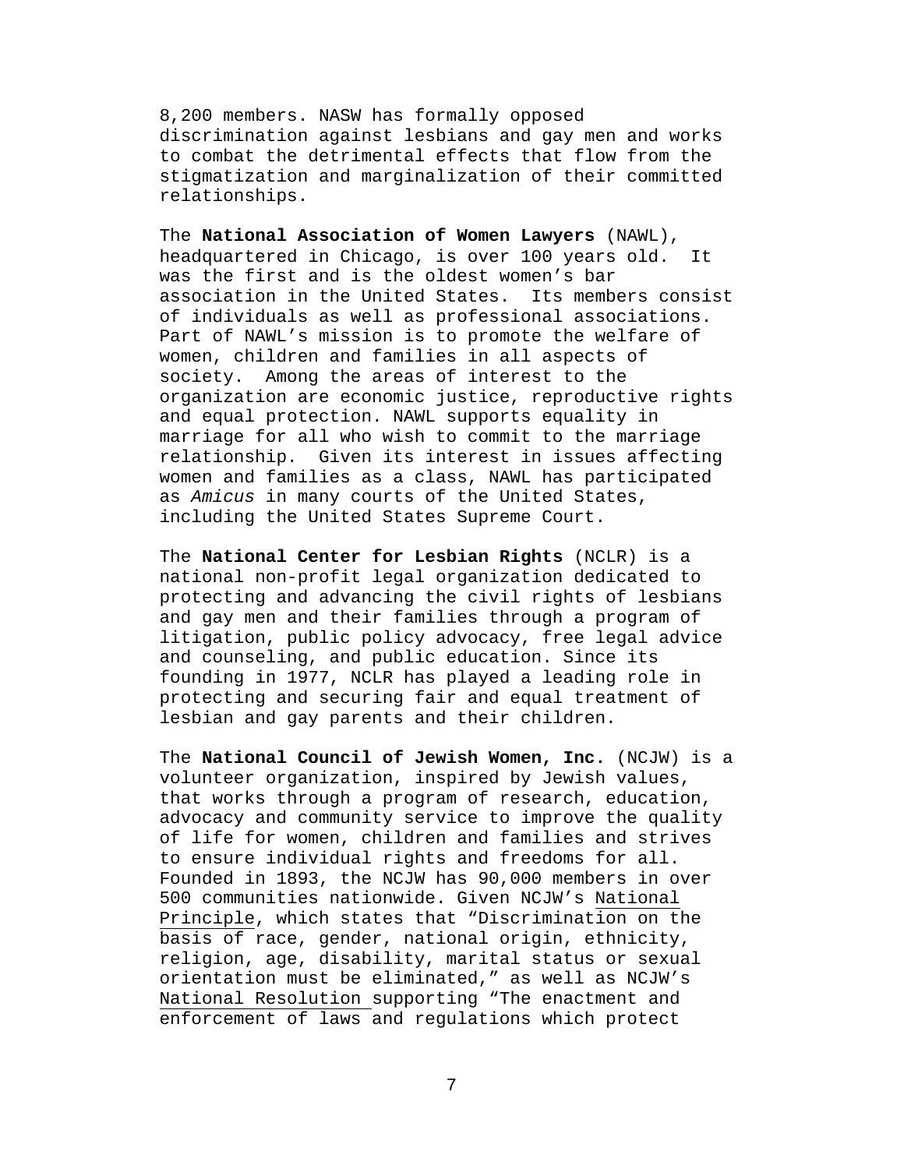8,200 members. NASW has formally opposed discrimination against lesbians and gay men and works to combat the detrimental effects that flow from the stigmatization and marginalization of their committed relationships.

The **National Association of Women Lawyers** (NAWL), headquartered in Chicago, is over 100 years old. It was the first and is the oldest women's bar association in the United States. Its members consist of individuals as well as professional associations. Part of NAWL's mission is to promote the welfare of women, children and families in all aspects of society. Among the areas of interest to the organization are economic justice, reproductive rights and equal protection. NAWL supports equality in marriage for all who wish to commit to the marriage relationship. Given its interest in issues affecting women and families as a class, NAWL has participated as *Amicus* in many courts of the United States, including the United States Supreme Court.

The **National Center for Lesbian Rights** (NCLR) is a national non-profit legal organization dedicated to protecting and advancing the civil rights of lesbians and gay men and their families through a program of litigation, public policy advocacy, free legal advice and counseling, and public education. Since its founding in 1977, NCLR has played a leading role in protecting and securing fair and equal treatment of lesbian and gay parents and their children.

The **National Council of Jewish Women, Inc.** (NCJW) is a volunteer organization, inspired by Jewish values, that works through a program of research, education, advocacy and community service to improve the quality of life for women, children and families and strives to ensure individual rights and freedoms for all. Founded in 1893, the NCJW has 90,000 members in over 500 communities nationwide. Given NCJW's National Principle, which states that "Discrimination on the basis of race, gender, national origin, ethnicity, religion, age, disability, marital status or sexual orientation must be eliminated," as well as NCJW's National Resolution supporting "The enactment and enforcement of laws and regulations which protect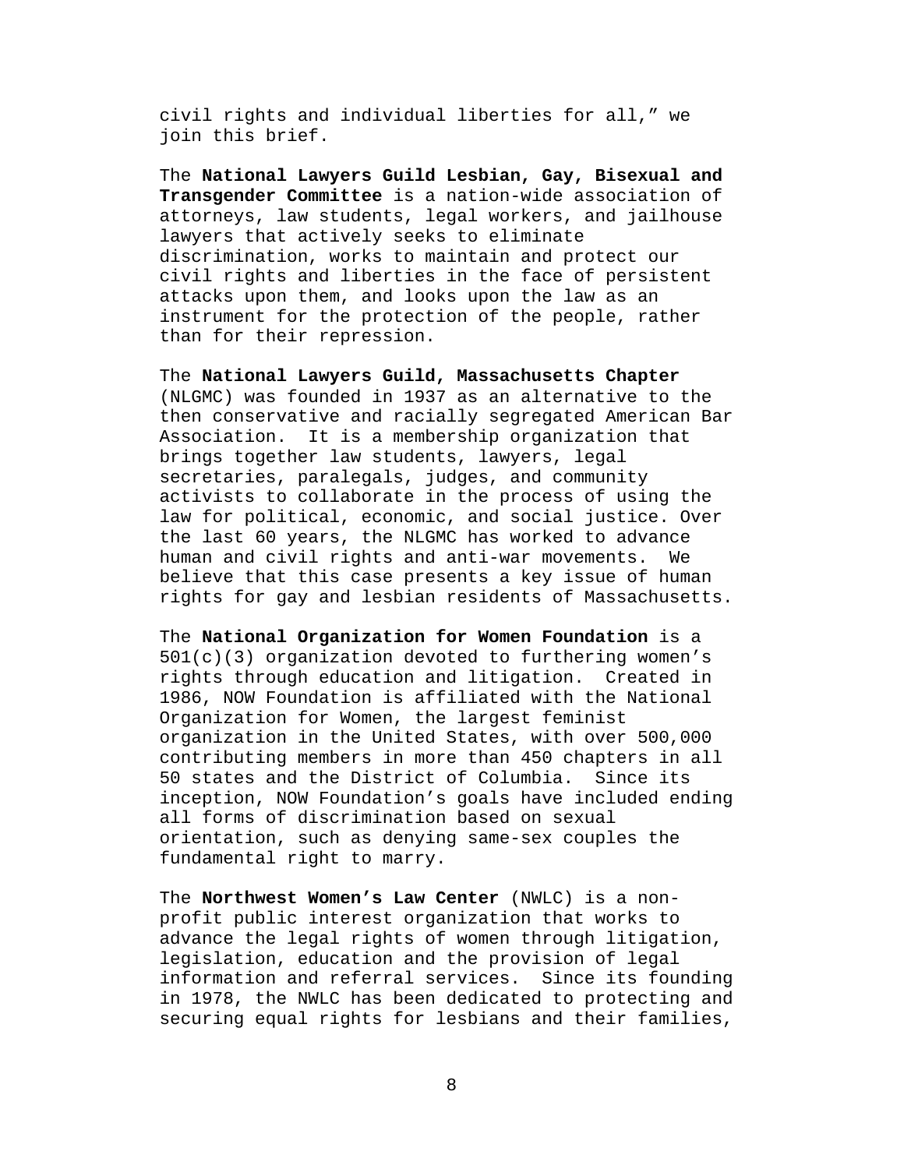civil rights and individual liberties for all," we join this brief.

The **National Lawyers Guild Lesbian, Gay, Bisexual and Transgender Committee** is a nation-wide association of attorneys, law students, legal workers, and jailhouse lawyers that actively seeks to eliminate discrimination, works to maintain and protect our civil rights and liberties in the face of persistent attacks upon them, and looks upon the law as an instrument for the protection of the people, rather than for their repression.

The **National Lawyers Guild, Massachusetts Chapter**  (NLGMC) was founded in 1937 as an alternative to the then conservative and racially segregated American Bar Association. It is a membership organization that brings together law students, lawyers, legal secretaries, paralegals, judges, and community activists to collaborate in the process of using the law for political, economic, and social justice. Over the last 60 years, the NLGMC has worked to advance human and civil rights and anti-war movements. We believe that this case presents a key issue of human rights for gay and lesbian residents of Massachusetts.

The **National Organization for Women Foundation** is a  $501(c)(3)$  organization devoted to furthering women's rights through education and litigation. Created in 1986, NOW Foundation is affiliated with the National Organization for Women, the largest feminist organization in the United States, with over 500,000 contributing members in more than 450 chapters in all 50 states and the District of Columbia. Since its inception, NOW Foundation's goals have included ending all forms of discrimination based on sexual orientation, such as denying same-sex couples the fundamental right to marry.

The **Northwest Women's Law Center** (NWLC) is a nonprofit public interest organization that works to advance the legal rights of women through litigation, legislation, education and the provision of legal information and referral services. Since its founding in 1978, the NWLC has been dedicated to protecting and securing equal rights for lesbians and their families,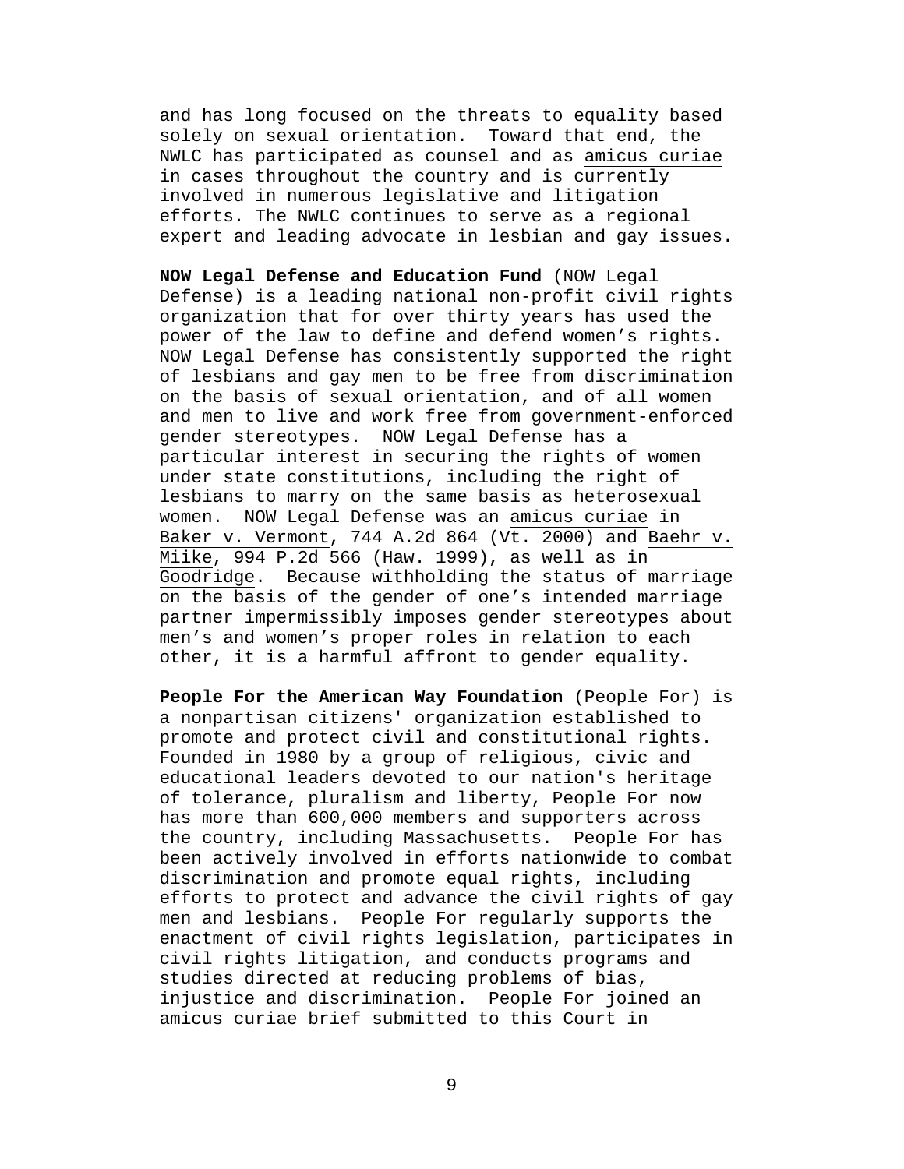and has long focused on the threats to equality based solely on sexual orientation. Toward that end, the NWLC has participated as counsel and as amicus curiae in cases throughout the country and is currently involved in numerous legislative and litigation efforts. The NWLC continues to serve as a regional expert and leading advocate in lesbian and gay issues.

**NOW Legal Defense and Education Fund** (NOW Legal Defense) is a leading national non-profit civil rights organization that for over thirty years has used the power of the law to define and defend women's rights. NOW Legal Defense has consistently supported the right of lesbians and gay men to be free from discrimination on the basis of sexual orientation, and of all women and men to live and work free from government-enforced gender stereotypes. NOW Legal Defense has a particular interest in securing the rights of women under state constitutions, including the right of lesbians to marry on the same basis as heterosexual women. NOW Legal Defense was an amicus curiae in Baker v. Vermont, 744 A.2d 864 (Vt. 2000) and Baehr v. Miike, 994 P.2d 566 (Haw. 1999), as well as in Goodridge. Because withholding the status of marriage on the basis of the gender of one's intended marriage partner impermissibly imposes gender stereotypes about men's and women's proper roles in relation to each other, it is a harmful affront to gender equality.

**People For the American Way Foundation** (People For) is a nonpartisan citizens' organization established to promote and protect civil and constitutional rights. Founded in 1980 by a group of religious, civic and educational leaders devoted to our nation's heritage of tolerance, pluralism and liberty, People For now has more than 600,000 members and supporters across the country, including Massachusetts. People For has been actively involved in efforts nationwide to combat discrimination and promote equal rights, including efforts to protect and advance the civil rights of gay men and lesbians. People For regularly supports the enactment of civil rights legislation, participates in civil rights litigation, and conducts programs and studies directed at reducing problems of bias, injustice and discrimination. People For joined an amicus curiae brief submitted to this Court in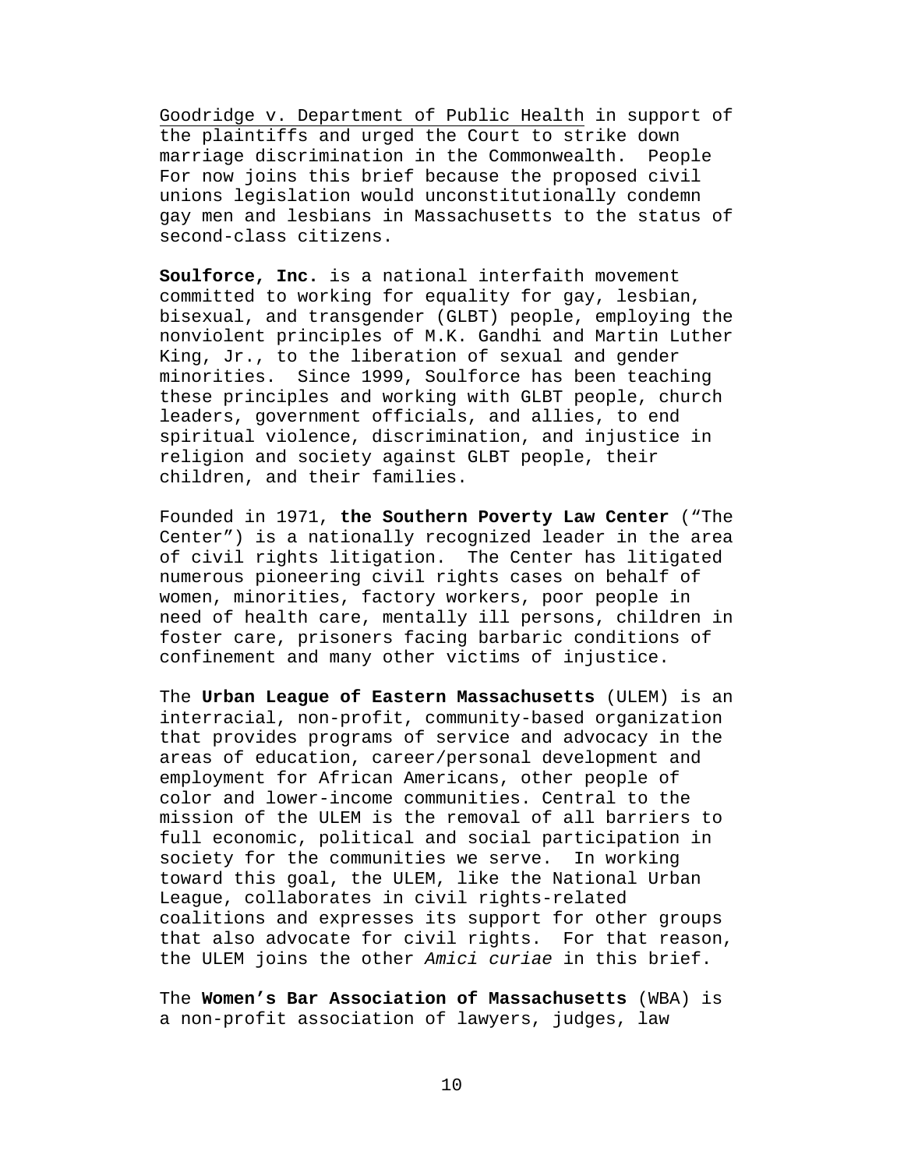Goodridge v. Department of Public Health in support of the plaintiffs and urged the Court to strike down marriage discrimination in the Commonwealth. People For now joins this brief because the proposed civil unions legislation would unconstitutionally condemn gay men and lesbians in Massachusetts to the status of second-class citizens.

**Soulforce, Inc.** is a national interfaith movement committed to working for equality for gay, lesbian, bisexual, and transgender (GLBT) people, employing the nonviolent principles of M.K. Gandhi and Martin Luther King, Jr., to the liberation of sexual and gender minorities. Since 1999, Soulforce has been teaching these principles and working with GLBT people, church leaders, government officials, and allies, to end spiritual violence, discrimination, and injustice in religion and society against GLBT people, their children, and their families.

Founded in 1971, **the Southern Poverty Law Center** ("The Center") is a nationally recognized leader in the area of civil rights litigation. The Center has litigated numerous pioneering civil rights cases on behalf of women, minorities, factory workers, poor people in need of health care, mentally ill persons, children in foster care, prisoners facing barbaric conditions of confinement and many other victims of injustice.

The **Urban League of Eastern Massachusetts** (ULEM) is an interracial, non-profit, community-based organization that provides programs of service and advocacy in the areas of education, career/personal development and employment for African Americans, other people of color and lower-income communities. Central to the mission of the ULEM is the removal of all barriers to full economic, political and social participation in society for the communities we serve. In working toward this goal, the ULEM, like the National Urban League, collaborates in civil rights-related coalitions and expresses its support for other groups that also advocate for civil rights. For that reason, the ULEM joins the other *Amici curiae* in this brief.

The **Women's Bar Association of Massachusetts** (WBA) is a non-profit association of lawyers, judges, law